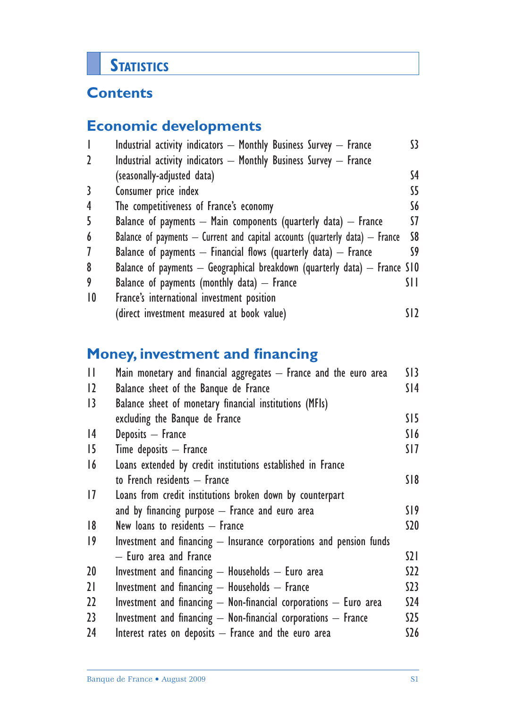# **STATISTICS**

# **Contents**

# **Economic developments**

| $\overline{\phantom{a}}$ | Industrial activity indicators - Monthly Business Survey - France                | 53. |
|--------------------------|----------------------------------------------------------------------------------|-----|
| $\mathbf{2}$             | Industrial activity indicators $-$ Monthly Business Survey $-$ France            |     |
|                          | (seasonally-adjusted data)                                                       | S4  |
| 3                        | Consumer price index                                                             | SS. |
| 4                        | The competitiveness of France's economy                                          | S6  |
| 5                        | Balance of payments $-$ Main components (quarterly data) $-$ France              | S7  |
| 6                        | Balance of payments $-$ Current and capital accounts (quarterly data) $-$ France | S8  |
| $\overline{1}$           | Balance of payments $-$ Financial flows (quarterly data) $-$ France              | S9  |
| 8                        | Balance of payments $-$ Geographical breakdown (quarterly data) $-$ France S10   |     |
| 9                        | Balance of payments (monthly data) $-$ France                                    | SH. |
| $\overline{10}$          | France's international investment position                                       |     |
|                          | (direct investment measured at book value)                                       |     |

# **Money, investment and financing**

| $\mathbf{H}$    | Main monetary and financial aggregates - France and the euro area     | SI3             |
|-----------------|-----------------------------------------------------------------------|-----------------|
| $ 2\rangle$     | Balance sheet of the Banque de France                                 | SI4             |
| 3               | Balance sheet of monetary financial institutions (MFIs)               |                 |
|                 | excluding the Banque de France                                        | S15             |
| 4               | Deposits - France                                                     | S16             |
| 15              | $Time$ deposits $-$ France                                            | SI 7            |
| 16              | Loans extended by credit institutions established in France           |                 |
|                 | to French residents - France                                          | S18             |
| 1               | Loans from credit institutions broken down by counterpart             |                 |
|                 | and by financing purpose $-$ France and euro area                     | SI 9            |
| 8               | New loans to residents - France                                       | S20             |
| $ 9\rangle$     | Investment and financing - Insurance corporations and pension funds   |                 |
|                 | - Euro area and France                                                | $\Omega$        |
| 20 <sup>°</sup> | Investment and financing $-$ Households $-$ Euro area                 | S22             |
| 21              | Investment and financing $-$ Households $-$ France                    | S <sub>23</sub> |
| 22              | Investment and financing $-$ Non-financial corporations $-$ Euro area | S <sub>24</sub> |
| 23              | Investment and financing $-$ Non-financial corporations $-$ France    | S25             |
| 24              | Interest rates on deposits $-$ France and the euro area               | \$26            |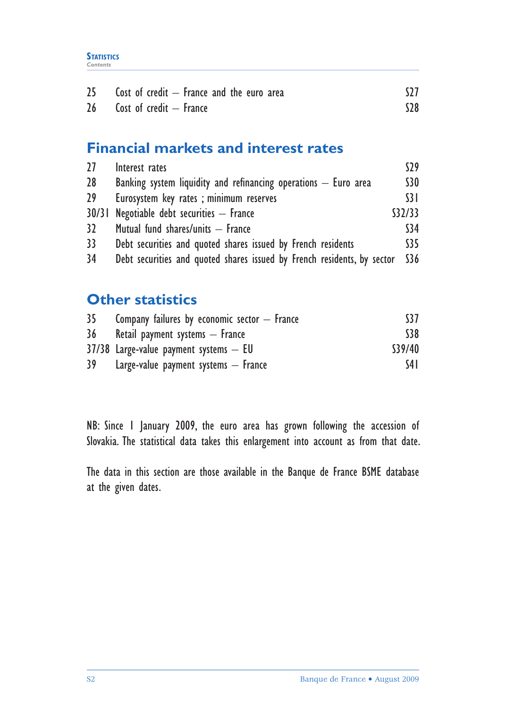| 25 <sub>2</sub> | Cost of credit $-$ France and the euro area |       |
|-----------------|---------------------------------------------|-------|
| 26 <sup>1</sup> | Cost of credit – France                     | $528$ |

# **Financial markets and interest rates**

| 27              | Interest rates                                                          | S29             |
|-----------------|-------------------------------------------------------------------------|-----------------|
| 28 <sup>°</sup> | Banking system liquidity and refinancing operations $-$ Euro area       | <b>S30</b>      |
| 29 <sup>°</sup> | Eurosystem key rates; minimum reserves                                  | $\overline{31}$ |
|                 | $30/31$ Negotiable debt securities $-$ France                           | \$32/33         |
| 32 <sup>2</sup> | Mutual fund shares/units - France                                       | \$34            |
| 33              | Debt securities and quoted shares issued by French residents            | \$35            |
| 34              | Debt securities and quoted shares issued by French residents, by sector | \$36            |

# **Other statistics**

| 35 <sub>1</sub> | Company failures by economic sector $-$ France | S <sub>37</sub> |
|-----------------|------------------------------------------------|-----------------|
| 36              | Retail payment systems - France                | \$38            |
|                 | $37/38$ Large-value payment systems $-$ EU     | \$39/40         |
| 39              | Large-value payment systems $-$ France         | S4 I            |

NB: Since 1 January 2009, the euro area has grown following the accession of Slovakia. The statistical data takes this enlargement into account as from that date.

The data in this section are those available in the Banque de France BSME database at the given dates.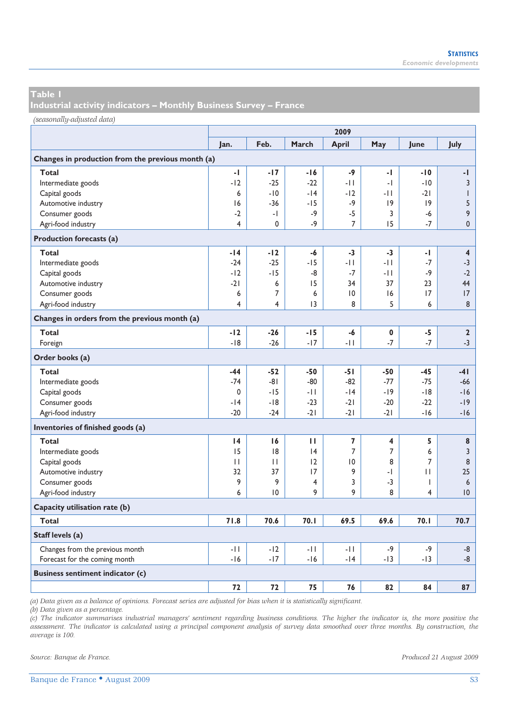**Industrial activity indicators – Monthly Business Survey – France** 

*(seasonally-adjusted data)*

|                                                   | 2009  |              |       |                 |                |                |                         |  |  |
|---------------------------------------------------|-------|--------------|-------|-----------------|----------------|----------------|-------------------------|--|--|
|                                                   | Jan.  | Feb.         | March | April           | May            | June           | July                    |  |  |
| Changes in production from the previous month (a) |       |              |       |                 |                |                |                         |  |  |
| Total                                             | -1    | -17          | $-16$ | -9              | -1             | $-10$          | -1                      |  |  |
| Intermediate goods                                | $-12$ | $-25$        | $-22$ | -11             | -1             | $-10$          | 3                       |  |  |
| Capital goods                                     | 6     | $-10$        | $-14$ | $-12$           | -11            | $-21$          | $\mathsf{I}$            |  |  |
| Automotive industry                               | 16    | $-36$        | $-15$ | $-9$            | 9              | 9              | 5                       |  |  |
| Consumer goods                                    | $-2$  | -1           | $-9$  | $-5$            | 3              | -6             | 9                       |  |  |
| Agri-food industry                                | 4     | $\mathbf 0$  | $-9$  | 7               | 15             | $-7$           | $\mathbf 0$             |  |  |
| Production forecasts (a)                          |       |              |       |                 |                |                |                         |  |  |
| Total                                             | -14   | -12          | -6    | -3              | -3             | -1             | $\overline{\mathbf{4}}$ |  |  |
| Intermediate goods                                | $-24$ | $-25$        | $-15$ | $-11$           | $-11$          | $-7$           | $-3$                    |  |  |
| Capital goods                                     | $-12$ | $-15$        | -8    | $-7$            | -11            | $-9$           | $-2$                    |  |  |
| Automotive industry                               | $-21$ | 6            | 15    | 34              | 37             | 23             | 44                      |  |  |
| Consumer goods                                    | 6     | 7            | 6     | $\overline{10}$ | 16             | 17             | 17                      |  |  |
| Agri-food industry                                | 4     | 4            | 13    | 8               | 5              | 6              | 8                       |  |  |
| Changes in orders from the previous month (a)     |       |              |       |                 |                |                |                         |  |  |
| Total                                             | $-12$ | $-26$        | $-15$ | -6              | 0              | -5             | $\mathbf{2}$            |  |  |
| Foreign                                           | $-18$ | $-26$        | $-17$ | $-11$           | $-7$           | $-7$           | $-3$                    |  |  |
| Order books (a)                                   |       |              |       |                 |                |                |                         |  |  |
| Total                                             | $-44$ | $-52$        | $-50$ | $-51$           | -50            | $-45$          | $-41$                   |  |  |
| Intermediate goods                                | $-74$ | $-81$        | $-80$ | $-82$           | $-77$          | $-75$          | $-66$                   |  |  |
| Capital goods                                     | 0     | $-15$        | $-11$ | $-14$           | $-19$          | $-18$          | $-16$                   |  |  |
| Consumer goods                                    | $-14$ | $-18$        | $-23$ | $-21$           | $-20$          | $-22$          | $-19$                   |  |  |
| Agri-food industry                                | $-20$ | $-24$        | $-21$ | $-21$           | $-21$          | $-16$          | $-16$                   |  |  |
| Inventories of finished goods (a)                 |       |              |       |                 |                |                |                         |  |  |
| Total                                             | 4     | 16           | п     | 7               | 4              | 5              | 8                       |  |  |
| Intermediate goods                                | 15    | 8            | 4     | 7               | $\overline{7}$ | 6              | 3                       |  |  |
| Capital goods                                     | П     | $\mathbf{H}$ | 12    | $\overline{0}$  | 8              | $\overline{7}$ | 8                       |  |  |
| Automotive industry                               | 32    | 37           | 17    | 9               | -1             | П              | 25                      |  |  |
| Consumer goods                                    | 9     | 9            | 4     | 3               | -3             | T              | 6                       |  |  |
| Agri-food industry                                | 6     | $ 0\rangle$  | 9     | 9               | 8              | 4              | 0                       |  |  |
| Capacity utilisation rate (b)                     |       |              |       |                 |                |                |                         |  |  |
| Total                                             | 71.8  | 70.6         | 70.1  | 69.5            | 69.6           | 70.1           | 70.7                    |  |  |
| Staff levels (a)                                  |       |              |       |                 |                |                |                         |  |  |
| Changes from the previous month                   | -11   | $-12$        | -11   | $-11$           | $-9$           | $-9$           | -8                      |  |  |
| Forecast for the coming month                     | $-16$ | $-17$        | $-16$ | $-14$           | $-13$          | $-13$          | -8                      |  |  |
| <b>Business sentiment indicator (c)</b>           |       |              |       |                 |                |                |                         |  |  |
|                                                   | 72    | 72           | 75    | 76              | 82             | 84             | 87                      |  |  |

*(a) Data given as a balance of opinions. Forecast series are adjusted for bias when it is statistically significant.* 

*(b) Data given as a percentage.* 

*(c) The indicator summarises industrial managers' sentiment regarding business conditions. The higher the indicator is, the more positive the assessment. The indicator is calculated using a principal component analysis of survey data smoothed over three months. By construction, the average is 100.*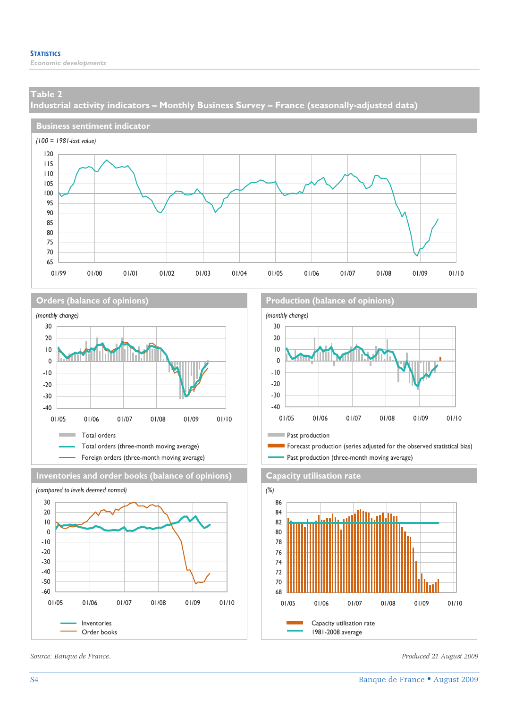**Industrial activity indicators – Monthly Business Survey – France (seasonally-adjusted data)** 









**Orders (balance of opinions) Production (balance of opinions)**



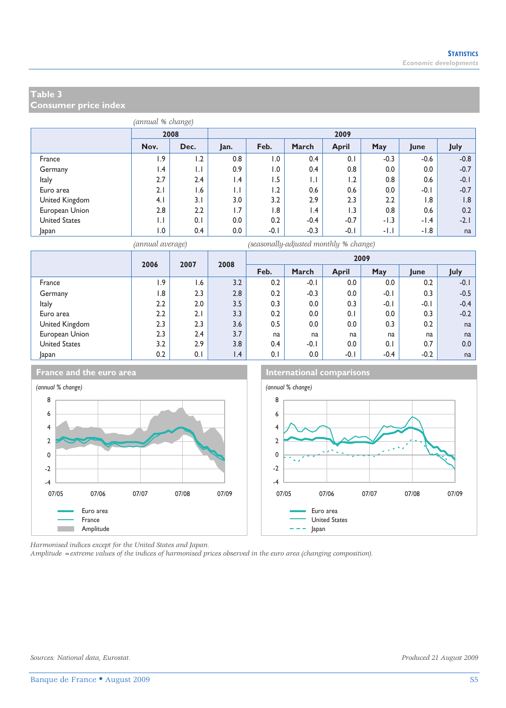**Consumer price index** 

| (annual % change)    |                         |              |                         |        |                 |              |        |        |        |  |  |
|----------------------|-------------------------|--------------|-------------------------|--------|-----------------|--------------|--------|--------|--------|--|--|
|                      |                         | 2009<br>2008 |                         |        |                 |              |        |        |        |  |  |
|                      | Nov.                    | Dec.         | Jan.                    | Feb.   | March           | <b>April</b> | May    | June   | July   |  |  |
| France               | 1.9                     | 1.2          | 0.8                     | 0.1    | 0.4             | 0.1          | $-0.3$ | $-0.6$ | $-0.8$ |  |  |
| Germany              | $\mathsf{I}.\mathsf{4}$ | $\mathsf{L}$ | 0.9                     | 1.0    | 0.4             | 0.8          | 0.0    | 0.0    | $-0.7$ |  |  |
| <b>Italy</b>         | 2.7                     | 2.4          | $\mathsf{I}.\mathsf{4}$ | 1.5    | $\mathsf{L}$    | 1.2          | 0.8    | 0.6    | $-0.1$ |  |  |
| Euro area            | 2.1                     | 1.6          | $\mathsf{L}$            | 1.2    | 0.6             | 0.6          | 0.0    | $-0.1$ | $-0.7$ |  |  |
| United Kingdom       | 4.1                     | 3.1          | 3.0                     | 3.2    | 2.9             | 2.3          | 2.2    | 1.8    | 1.8    |  |  |
| European Union       | 2.8                     | 2.2          | 1.7                     | 1.8    | $\mathsf{I}$ .4 | 1.3          | 0.8    | 0.6    | 0.2    |  |  |
| <b>United States</b> | $\mathsf{L}$            | 0.1          | 0.0                     | 0.2    | $-0.4$          | $-0.7$       | $-1.3$ | $-1.4$ | $-2.1$ |  |  |
| Japan                | 1.0                     | 0.4          | 0.0                     | $-0.1$ | $-0.3$          | $-0.1$       | $-1.1$ | $-1.8$ | na     |  |  |

*(annual average) (seasonally-adjusted monthly % change)*

|                      | 2006<br>2007   |     | 2008            |      |         |              | 2009   |        |        |
|----------------------|----------------|-----|-----------------|------|---------|--------------|--------|--------|--------|
|                      |                |     |                 | Feb. | March   | <b>April</b> | May    | June   | July   |
| France               | 1.9            | 1.6 | 3.2             | 0.2  | $-0.1$  | 0.0          | 0.0    | 0.2    | $-0.1$ |
| Germany              | $\overline{8}$ | 2.3 | 2.8             | 0.2  | $-0.3$  | 0.0          | $-0.1$ | 0.3    | $-0.5$ |
| <b>Italy</b>         | 2.2            | 2.0 | 3.5             | 0.3  | 0.0     | 0.3          | $-0.1$ | $-0.1$ | $-0.4$ |
| Euro area            | 2.2            | 2.1 | 3.3             | 0.2  | $0.0\,$ | 0.1          | 0.0    | 0.3    | $-0.2$ |
| United Kingdom       | 2.3            | 2.3 | 3.6             | 0.5  | $0.0\,$ | 0.0          | 0.3    | 0.2    | na     |
| European Union       | 2.3            | 2.4 | 3.7             | na   | na      | na           | na     | na     | na     |
| <b>United States</b> | 3.2            | 2.9 | 3.8             | 0.4  | $-0.1$  | 0.0          | 0.1    | 0.7    | 0.0    |
| Japan                | 0.2            | 0.1 | $\mathsf{I}$ .4 | 0.1  | $0.0\,$ | $-0.1$       | $-0.4$ | $-0.2$ | na     |







*Harmonised indices except for the United States and Japan.* 

*Amplitude =extreme values of the indices of harmonised prices observed in the euro area (changing composition).*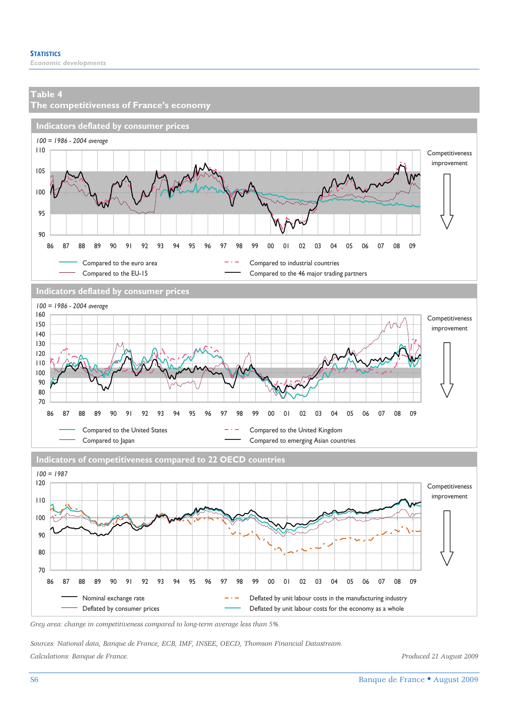

Nominal exchange rate  $-$  Deflated by unit labour costs in the manufacturing industry Deflated by consumer prices **Deflated by unit labour costs for the economy as a whole** 

86 87 88 89 90 91 92 93 94 95 96 97 98 99 00 01 02 03 04 05 06 07 08 09

*Sources: National data, Banque de France, ECB, IMF, INSEE, OECD, Thomson Financial Datastream. Calculations: Banque de France. Produced 21 August 2009*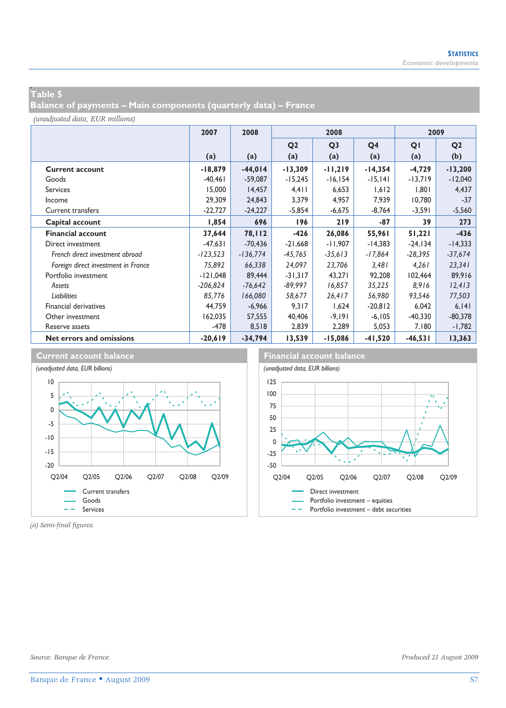## **w Table 5**

**Balance of payments – Main components (quarterly data) – France** 

*(unadjusted data, EUR millions)*

|                                     | 2007       | 2008       |                | 2008           |                | 2009       |                |
|-------------------------------------|------------|------------|----------------|----------------|----------------|------------|----------------|
|                                     |            |            | Q <sub>2</sub> | Q <sub>3</sub> | Q <sub>4</sub> | QI         | Q <sub>2</sub> |
|                                     | (a)        | (a)        | (a)            | (a)            | (a)            | (a)        | (b)            |
| <b>Current account</b>              | $-18,879$  | $-44,014$  | $-13,309$      | $-11,219$      | $-14,354$      | $-4,729$   | $-13,200$      |
| Goods                               | $-40.461$  | $-59.087$  | $-15,245$      | $-16, 154$     | $-15,141$      | $-13,719$  | $-12,040$      |
| <b>Services</b>                     | 15,000     | 14,457     | $4,4$          | 6,653          | 1,612          | 1,801      | 4,437          |
| Income                              | 29,309     | 24,843     | 3,379          | 4,957          | 7,939          | 10,780     | $-37$          |
| <b>Current transfers</b>            | $-22,727$  | $-24,227$  | $-5,854$       | $-6,675$       | $-8,764$       | -3,591     | $-5,560$       |
| Capital account                     | 1,854      | 696        | 196            | 219            | $-87$          | 39         | 273            |
| <b>Financial account</b>            | 37,644     | 78,112     | $-426$         | 26,086         | 55,961         | 51,221     | $-436$         |
| Direct investment                   | $-47.631$  | $-70.436$  | $-21,668$      | $-11,907$      | $-14,383$      | $-24, 134$ | $-14,333$      |
| French direct investment abroad     | $-123,523$ | $-136,774$ | $-45,765$      | $-35,613$      | $-17,864$      | $-28,395$  | $-37,674$      |
| Foreign direct investment in France | 75,892     | 66,338     | 24,097         | 23,706         | 3,481          | 4,261      | 23,341         |
| Portfolio investment                | $-121,048$ | 89,444     | $-31,317$      | 43,271         | 92,208         | 102,464    | 89,916         |
| Assets                              | $-206,824$ | $-76,642$  | $-89,997$      | 16,857         | 35,225         | 8,916      | 12,413         |
| <b>Liabilities</b>                  | 85,776     | 166,080    | 58,677         | 26,417         | 56,980         | 93,546     | 77,503         |
| Financial derivatives               | 44,759     | $-6,966$   | 9,317          | 1,624          | $-20,812$      | 6,042      | 6, 141         |
| Other investment                    | 162,035    | 57,555     | 40,406         | -9,191         | $-6, 105$      | $-40,330$  | $-80,378$      |
| Reserve assets                      | $-478$     | 8,518      | 2,839          | 2,289          | 5,053          | 7,180      | $-1,782$       |
| Net errors and omissions            | $-20,619$  | $-34,794$  | 13,539         | $-15,086$      | $-41,520$      | $-46,531$  | 13,363         |



*(a) Semi-final figures.*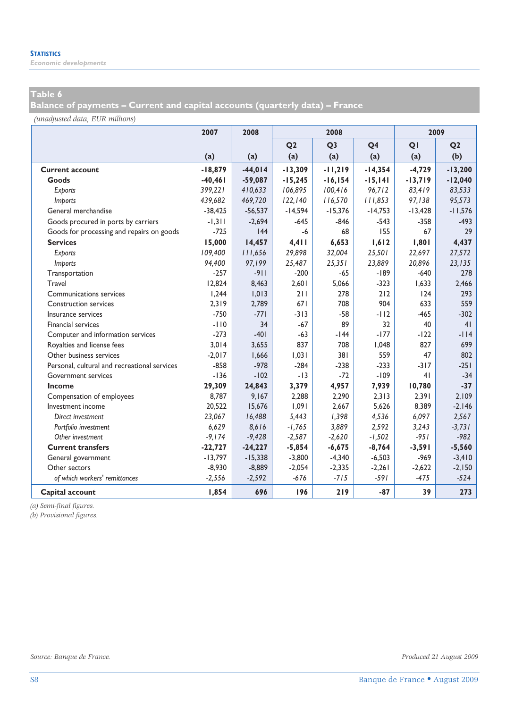*Economic developments* 

# **Table 6**

**Balance of payments – Current and capital accounts (quarterly data) – France** 

*(unadjusted data, EUR millions)*

|                                              | 2007      | 2008      | 2008           |                |                | 2009      |                |  |
|----------------------------------------------|-----------|-----------|----------------|----------------|----------------|-----------|----------------|--|
|                                              |           |           | Q <sub>2</sub> | Q <sub>3</sub> | Q <sub>4</sub> | QI        | Q <sub>2</sub> |  |
|                                              | (a)       | (a)       | (a)            | (a)            | (a)            | (a)       | (b)            |  |
| <b>Current account</b>                       | $-18,879$ | $-44,014$ | $-13,309$      | $-11,219$      | $-14,354$      | $-4,729$  | $-13,200$      |  |
| Goods                                        | $-40,461$ | $-59,087$ | $-15,245$      | $-16, 154$     | $-15,141$      | $-13,719$ | $-12,040$      |  |
| Exports                                      | 399,221   | 410,633   | 106,895        | 100,416        | 96,712         | 83,419    | 83,533         |  |
| <i>Imports</i>                               | 439,682   | 469,720   | 122, 140       | 116,570        | 111,853        | 97,138    | 95,573         |  |
| General merchandise                          | $-38,425$ | $-56,537$ | $-14,594$      | $-15,376$      | $-14,753$      | $-13,428$ | $-11,576$      |  |
| Goods procured in ports by carriers          | $-1,311$  | $-2.694$  | $-645$         | $-846$         | $-543$         | $-358$    | $-493$         |  |
| Goods for processing and repairs on goods    | $-725$    | 44        | -6             | 68             | 155            | 67        | 29             |  |
| <b>Services</b>                              | 15,000    | 14,457    | 4,411          | 6,653          | 1,612          | 1,801     | 4,437          |  |
| Exports                                      | 109,400   | 111,656   | 29,898         | 32,004         | 25,501         | 22,697    | 27,572         |  |
| Imports                                      | 94,400    | 97,199    | 25,487         | 25,351         | 23,889         | 20,896    | 23,135         |  |
| Transportation                               | $-257$    | $-911$    | $-200$         | $-65$          | $-189$         | $-640$    | 278            |  |
| Travel                                       | 12.824    | 8,463     | 2,601          | 5,066          | $-323$         | 1.633     | 2,466          |  |
| Communications services                      | 1,244     | 1,013     | 211            | 278            | 212            | 124       | 293            |  |
| <b>Construction services</b>                 | 2,319     | 2,789     | 671            | 708            | 904            | 633       | 559            |  |
| Insurance services                           | $-750$    | $-771$    | $-313$         | $-58$          | $-112$         | $-465$    | $-302$         |  |
| Financial services                           | $-110$    | 34        | $-67$          | 89             | 32             | 40        | 41             |  |
| Computer and information services            | $-273$    | $-401$    | $-63$          | $-144$         | $-177$         | $-122$    | $-114$         |  |
| Royalties and license fees                   | 3,014     | 3,655     | 837            | 708            | 1,048          | 827       | 699            |  |
| Other business services                      | $-2,017$  | 1,666     | 1,031          | 381            | 559            | 47        | 802            |  |
| Personal, cultural and recreational services | $-858$    | $-978$    | $-284$         | $-238$         | $-233$         | $-317$    | $-251$         |  |
| Government services                          | $-136$    | $-102$    | $-13$          | $-72$          | $-109$         | 41        | $-34$          |  |
| Income                                       | 29,309    | 24,843    | 3,379          | 4,957          | 7,939          | 10,780    | $-37$          |  |
| Compensation of employees                    | 8.787     | 9,167     | 2,288          | 2,290          | 2,313          | 2,391     | 2.109          |  |
| Investment income                            | 20,522    | 15,676    | 1,091          | 2.667          | 5,626          | 8,389     | $-2,146$       |  |
| Direct investment                            | 23,067    | 16,488    | 5,443          | 1,398          | 4,536          | 6,097     | 2,567          |  |
| Portfolio investment                         | 6,629     | 8,616     | $-1,765$       | 3,889          | 2,592          | 3,243     | $-3,731$       |  |
| Other investment                             | $-9,174$  | $-9,428$  | $-2,587$       | $-2,620$       | $-1,502$       | $-951$    | $-982$         |  |
| <b>Current transfers</b>                     | $-22,727$ | $-24,227$ | $-5,854$       | $-6,675$       | $-8,764$       | $-3,591$  | $-5,560$       |  |
| General government                           | $-13,797$ | $-15,338$ | $-3,800$       | $-4,340$       | $-6,503$       | $-969$    | $-3,410$       |  |
| Other sectors                                | $-8,930$  | $-8,889$  | $-2,054$       | $-2,335$       | $-2,261$       | $-2,622$  | $-2,150$       |  |
| of which workers' remittances                | $-2,556$  | $-2,592$  | $-676$         | $-715$         | -591           | $-475$    | $-524$         |  |
| Capital account                              | 1,854     | 696       | 196            | 219            | $-87$          | 39        | 273            |  |

*(a) Semi-final figures.* 

*(b) Provisional figures.*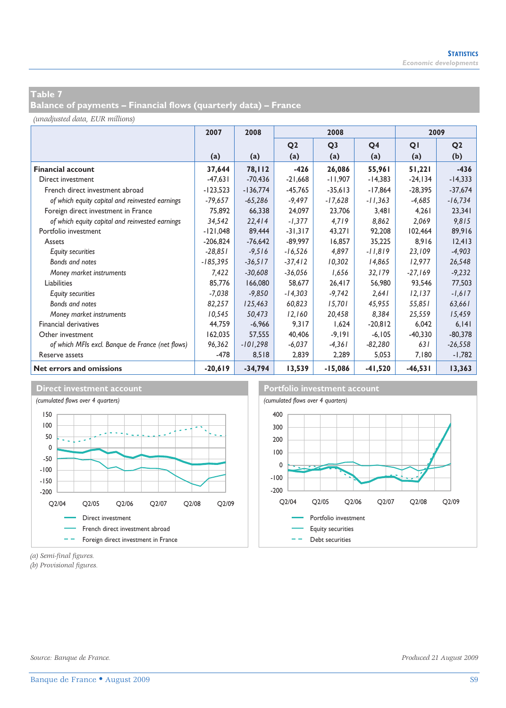**Balance of payments – Financial flows (quarterly data) – France** 

*(unadjusted data, EUR millions)*

|                                                  | 2007       | 2008       |                | 2008           |                | 2009       |                |  |
|--------------------------------------------------|------------|------------|----------------|----------------|----------------|------------|----------------|--|
|                                                  |            |            | Q <sub>2</sub> | Q <sub>3</sub> | Q <sub>4</sub> | QI         | Q <sub>2</sub> |  |
|                                                  | (a)        | (a)        | (a)            | (a)            | (a)            | (a)        | (b)            |  |
| <b>Financial account</b>                         | 37,644     | 78,112     | $-426$         | 26,086         | 55,961         | 51,221     | $-436$         |  |
| Direct investment                                | $-47,631$  | $-70.436$  | $-21,668$      | $-11,907$      | $-14,383$      | $-24, 134$ | $-14,333$      |  |
| French direct investment abroad                  | $-123,523$ | $-136,774$ | $-45,765$      | $-35,613$      | $-17,864$      | $-28,395$  | $-37,674$      |  |
| of which equity capital and reinvested earnings  | $-79,657$  | $-65,286$  | $-9,497$       | $-17,628$      | $-11,363$      | $-4,685$   | $-16,734$      |  |
| Foreign direct investment in France              | 75,892     | 66,338     | 24,097         | 23,706         | 3,481          | 4,261      | 23,341         |  |
| of which equity capital and reinvested earnings  | 34,542     | 22,414     | $-1,377$       | 4,719          | 8,862          | 2,069      | 9,815          |  |
| Portfolio investment                             | $-121,048$ | 89,444     | $-31,317$      | 43,271         | 92,208         | 102,464    | 89,916         |  |
| Assets                                           | $-206,824$ | $-76,642$  | $-89,997$      | 16,857         | 35,225         | 8,916      | 12,413         |  |
| <b>Equity securities</b>                         | $-28,851$  | $-9,516$   | $-16,526$      | 4,897          | $-11,819$      | 23,109     | $-4,903$       |  |
| Bonds and notes                                  | $-185,395$ | $-36,517$  | $-37,412$      | 10,302         | 14,865         | 12,977     | 26,548         |  |
| Money market instruments                         | 7,422      | $-30,608$  | $-36,056$      | 1,656          | 32,179         | $-27,169$  | $-9,232$       |  |
| Liabilities                                      | 85,776     | 166,080    | 58.677         | 26,417         | 56,980         | 93,546     | 77,503         |  |
| <b>Equity securities</b>                         | $-7,038$   | $-9,850$   | $-14,303$      | $-9,742$       | 2,641          | 12,137     | $-1,617$       |  |
| Bonds and notes                                  | 82,257     | 125,463    | 60,823         | 15,701         | 45,955         | 55,851     | 63,661         |  |
| Money market instruments                         | 10,545     | 50,473     | 12,160         | 20,458         | 8,384          | 25,559     | 15,459         |  |
| Financial derivatives                            | 44,759     | $-6,966$   | 9,317          | 1.624          | $-20,812$      | 6.042      | 6, 141         |  |
| Other investment                                 | 162,035    | 57,555     | 40,406         | $-9,191$       | $-6.105$       | $-40,330$  | $-80,378$      |  |
| of which MFIs excl. Banque de France (net flows) | 96,362     | $-101,298$ | $-6,037$       | $-4,361$       | $-82,280$      | 631        | $-26,558$      |  |
| Reserve assets                                   | $-478$     | 8,518      | 2,839          | 2.289          | 5,053          | 7.180      | $-1,782$       |  |
| Net errors and omissions                         | $-20,619$  | $-34,794$  | 13,539         | $-15,086$      | $-41,520$      | $-46,531$  | 13,363         |  |





*(a) Semi-final figures.* 

*(b) Provisional figures.*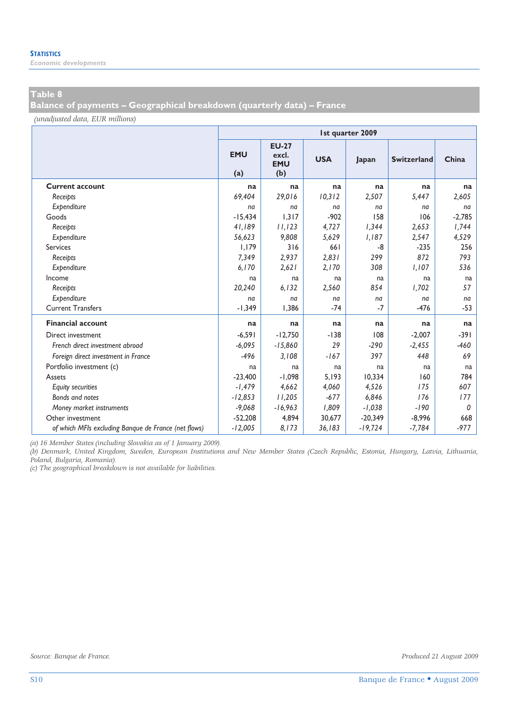*Economic developments* 

## **Table 8**

**Balance of payments – Geographical breakdown (quarterly data) – France** 

*(unadjusted data, EUR millions)*

|                                                      | <b>Ist quarter 2009</b> |                                            |            |           |                    |          |  |  |  |  |
|------------------------------------------------------|-------------------------|--------------------------------------------|------------|-----------|--------------------|----------|--|--|--|--|
|                                                      | <b>EMU</b><br>(a)       | <b>EU-27</b><br>excl.<br><b>EMU</b><br>(b) | <b>USA</b> | Japan     | <b>Switzerland</b> | China    |  |  |  |  |
| <b>Current account</b>                               | na                      | na                                         | na         | na        | na                 | na       |  |  |  |  |
| Receipts                                             | 69.404                  | 29,016                                     | 10,312     | 2.507     | 5,447              | 2,605    |  |  |  |  |
| Expenditure                                          | na                      | na                                         | na         | na        | na                 | na       |  |  |  |  |
| Goods                                                | $-15.434$               | 1.317                                      | $-902$     | 158       | 106                | $-2,785$ |  |  |  |  |
| Receipts                                             | 41,189                  | 11,123                                     | 4,727      | 1,344     | 2,653              | 1,744    |  |  |  |  |
| Expenditure                                          | 56,623                  | 9.808                                      | 5.629      | 1.187     | 2.547              | 4,529    |  |  |  |  |
| <b>Services</b>                                      | 1,179                   | 316                                        | 661        | $-8$      | $-235$             | 256      |  |  |  |  |
| Receipts                                             | 7,349                   | 2,937                                      | 2,831      | 299       | 872                | 793      |  |  |  |  |
| Expenditure                                          | 6,170                   | 2,621                                      | 2,170      | 308       | 1,107              | 536      |  |  |  |  |
| Income                                               | na                      | na                                         | na         | na        | na                 | na       |  |  |  |  |
| Receipts                                             | 20,240                  | 6,132                                      | 2,560      | 854       | 1,702              | 57       |  |  |  |  |
| Expenditure                                          | na                      | na                                         | na         | na        | na                 | na       |  |  |  |  |
| <b>Current Transfers</b>                             | $-1.349$                | 1.386                                      | $-74$      | $-7$      | $-476$             | $-53$    |  |  |  |  |
| <b>Financial account</b>                             | na                      | na                                         | na         | na        | na                 | na       |  |  |  |  |
| Direct investment                                    | $-6,591$                | $-12,750$                                  | $-138$     | 108       | $-2,007$           | $-391$   |  |  |  |  |
| French direct investment abroad                      | $-6,095$                | $-15,860$                                  | 29         | $-290$    | $-2,455$           | $-460$   |  |  |  |  |
| Foreign direct investment in France                  | $-496$                  | 3,108                                      | $-167$     | 397       | 448                | 69       |  |  |  |  |
| Portfolio investment (c)                             | na                      | na                                         | na         | na        | na                 | na       |  |  |  |  |
| Assets                                               | $-23,400$               | $-1.098$                                   | 5.193      | 10.334    | 160                | 784      |  |  |  |  |
| <b>Equity securities</b>                             | $-1,479$                | 4,662                                      | 4,060      | 4,526     | 175                | 607      |  |  |  |  |
| Bonds and notes                                      | $-12,853$               | 11,205                                     | $-677$     | 6,846     | 176                | 177      |  |  |  |  |
| Money market instruments                             | $-9,068$                | $-16,963$                                  | 1.809      | $-1,038$  | $-190$             | 0        |  |  |  |  |
| Other investment                                     | $-52.208$               | 4,894                                      | 30.677     | $-20,349$ | $-8,996$           | 668      |  |  |  |  |
| of which MFIs excluding Banque de France (net flows) | $-12,005$               | 8,173                                      | 36,183     | $-19,724$ | $-7,784$           | $-977$   |  |  |  |  |

*(a) 16 Member States (including Slovakia as of 1 January 2009).* 

*(b) Denmark, United Kingdom, Sweden, European Institutions and New Member States (Czech Republic, Estonia, Hungary, Latvia, Lithuania, Poland, Bulgaria, Romania).* 

*(c) The geographical breakdown is not available for liabilities.*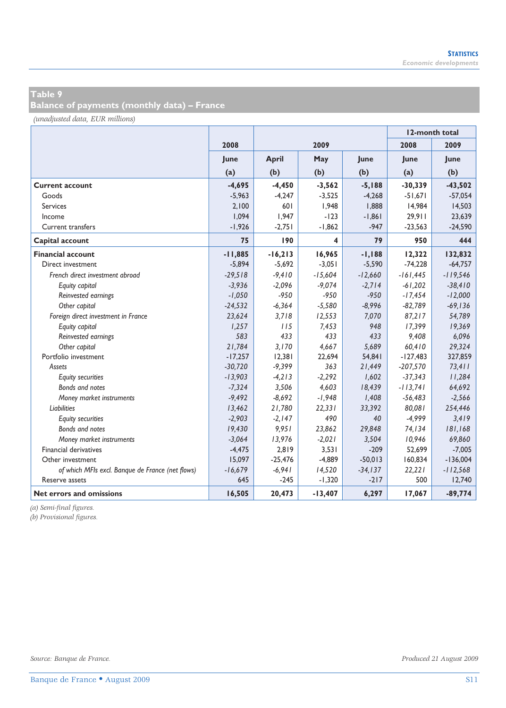**Balance of payments (monthly data) – France** 

*(unadjusted data, EUR millions)*

|                                                  |           |              |           | 12-month total |            |            |
|--------------------------------------------------|-----------|--------------|-----------|----------------|------------|------------|
|                                                  | 2008      |              | 2009      |                | 2008       | 2009       |
|                                                  | June      | <b>April</b> | May       | June           | June       | June       |
|                                                  | (a)       | (b)          | (b)       | (b)            | (a)        | (b)        |
| <b>Current account</b>                           | $-4,695$  | $-4,450$     | $-3,562$  | $-5,188$       | $-30,339$  | $-43,502$  |
| Goods                                            | $-5,963$  | $-4,247$     | $-3,525$  | $-4,268$       | $-51,671$  | $-57,054$  |
| <b>Services</b>                                  | 2,100     | 601          | 1,948     | 1,888          | 14,984     | 14,503     |
| Income                                           | 1,094     | 1,947        | $-123$    | $-1,861$       | 29,911     | 23,639     |
| Current transfers                                | $-1,926$  | $-2,751$     | $-1,862$  | $-947$         | $-23,563$  | $-24,590$  |
| Capital account                                  | 75        | 190          | 4         | 79             | 950        | 444        |
| <b>Financial account</b>                         | $-11,885$ | $-16,213$    | 16,965    | $-1,188$       | 12,322     | 132,832    |
| Direct investment                                | $-5.894$  | $-5,692$     | $-3,051$  | $-5,590$       | $-74.228$  | $-64,757$  |
| French direct investment abroad                  | $-29,518$ | $-9,410$     | $-15,604$ | $-12,660$      | $-161,445$ | $-119,546$ |
| Equity capital                                   | $-3,936$  | $-2,096$     | $-9,074$  | $-2,714$       | $-61,202$  | $-38,410$  |
| Reinvested earnings                              | $-1,050$  | $-950$       | $-950$    | $-950$         | $-17,454$  | $-12,000$  |
| Other capital                                    | $-24,532$ | $-6,364$     | $-5,580$  | $-8,996$       | $-82,789$  | $-69, 136$ |
| Foreign direct investment in France              | 23,624    | 3,718        | 12,553    | 7,070          | 87,217     | 54,789     |
| Equity capital                                   | 1,257     | 115          | 7,453     | 948            | 17,399     | 19,369     |
| Reinvested earnings                              | 583       | 433          | 433       | 433            | 9,408      | 6,096      |
| Other capital                                    | 21,784    | 3,170        | 4,667     | 5,689          | 60,410     | 29,324     |
| Portfolio investment                             | $-17,257$ | 12,381       | 22,694    | 54,841         | $-127,483$ | 327,859    |
| Assets                                           | $-30,720$ | $-9,399$     | 363       | 21,449         | $-207,570$ | 73,411     |
| <b>Equity securities</b>                         | $-13,903$ | $-4,213$     | $-2,292$  | 1,602          | $-37,343$  | 11,284     |
| Bonds and notes                                  | $-7,324$  | 3,506        | 4,603     | 18,439         | $-113,741$ | 64,692     |
| Money market instruments                         | $-9,492$  | $-8,692$     | $-1,948$  | 1,408          | $-56,483$  | $-2,566$   |
| Liabilities                                      | 13,462    | 21,780       | 22,331    | 33,392         | 80,081     | 254,446    |
| <b>Equity securities</b>                         | $-2,903$  | $-2,147$     | 490       | 40             | $-4,999$   | 3,419      |
| Bonds and notes                                  | 19,430    | 9,951        | 23,862    | 29,848         | 74,134     | 181,168    |
| Money market instruments                         | $-3,064$  | 13,976       | $-2,021$  | 3,504          | 10,946     | 69,860     |
| <b>Financial derivatives</b>                     | $-4,475$  | 2,819        | 3,531     | $-209$         | 52,699     | $-7,005$   |
| Other investment                                 | 15,097    | $-25,476$    | $-4,889$  | $-50,013$      | 160,834    | $-136,004$ |
| of which MFIs excl. Banque de France (net flows) | $-16,679$ | $-6,941$     | 14,520    | $-34, 137$     | 22,221     | $-112,568$ |
| Reserve assets                                   | 645       | $-245$       | $-1,320$  | $-217$         | 500        | 12,740     |
| Net errors and omissions                         | 16,505    | 20,473       | $-13,407$ | 6,297          | 17,067     | $-89,774$  |

*(a) Semi-final figures.* 

*(b) Provisional figures.*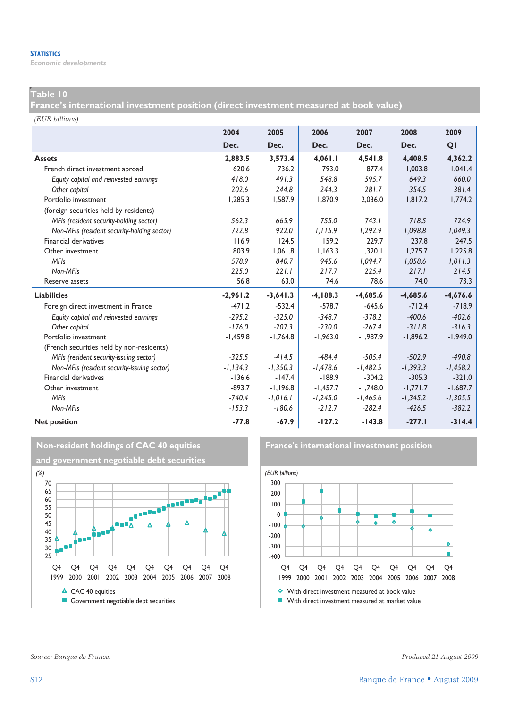## **p Table 10**

**France's international investment position (direct investment measured at book value)** 

*(EUR billions)*

|                                             | 2004        | 2005       | 2006        | 2007       | 2008       | 2009       |
|---------------------------------------------|-------------|------------|-------------|------------|------------|------------|
|                                             | Dec.        | Dec.       | Dec.        | Dec.       | Dec.       | QI         |
| <b>Assets</b>                               | 2,883.5     | 3,573.4    | 4,061.1     | 4,541.8    | 4.408.5    | 4,362.2    |
| French direct investment abroad             | 620.6       | 736.2      | 793.0       | 877.4      | 1.003.8    | 1.041.4    |
| Equity capital and reinvested earnings      | 418.0       | 491.3      | 548.8       | 595.7      | 649.3      | 660.0      |
| Other capital                               | 202.6       | 244.8      | 244.3       | 281.7      | 354.5      | 381.4      |
| Portfolio investment                        | 1.285.3     | 1,587.9    | 1.870.9     | 2.036.0    | 1.817.2    | 1,774.2    |
| (foreign securities held by residents)      |             |            |             |            |            |            |
| MFIs (resident security-holding sector)     | 562.3       | 665.9      | 755.0       | 743.1      | 718.5      | 724.9      |
| Non-MFIs (resident security-holding sector) | 722.8       | 922.0      | 1.115.9     | 1,292.9    | 1.098.8    | 1,049.3    |
| Financial derivatives                       | 116.9       | 124.5      | 159.2       | 229.7      | 237.8      | 247.5      |
| Other investment                            | 803.9       | 1.061.8    | 1.163.3     | 1.320.1    | 1.275.7    | 1.225.8    |
| <b>MFIs</b>                                 | 578.9       | 840.7      | 945.6       | 1,094.7    | 1,058.6    | 1,011.3    |
| Non-MFIs                                    | 225.0       | 221.1      | 217.7       | 225.4      | 217.1      | 214.5      |
| Reserve assets                              | 56.8        | 63.0       | 74.6        | 78.6       | 74.0       | 73.3       |
| <b>Liabilities</b>                          | $-2,961.2$  | $-3,641.3$ | $-4, 188.3$ | $-4,685.6$ | $-4,685.6$ | $-4,676.6$ |
| Foreign direct investment in France         | $-471.2$    | $-532.4$   | $-578.7$    | $-645.6$   | $-712.4$   | $-718.9$   |
| Equity capital and reinvested earnings      | $-295.2$    | $-325.0$   | $-348.7$    | $-378.2$   | $-400.6$   | $-402.6$   |
| Other capital                               | $-176.0$    | $-207.3$   | $-230.0$    | $-267.4$   | $-311.8$   | $-316.3$   |
| Portfolio investment                        | $-1,459.8$  | $-1,764.8$ | $-1.963.0$  | $-1.987.9$ | $-1.896.2$ | $-1,949.0$ |
| (French securities held by non-residents)   |             |            |             |            |            |            |
| MFIs (resident security-issuing sector)     | $-325.5$    | $-414.5$   | $-484.4$    | $-505.4$   | $-502.9$   | $-490.8$   |
| Non-MFIs (resident security-issuing sector) | $-1, 134.3$ | $-1,350.3$ | $-1,478.6$  | $-1,482.5$ | $-1,393.3$ | $-1,458.2$ |
| Financial derivatives                       | $-136.6$    | $-147.4$   | $-188.9$    | $-304.2$   | $-305.3$   | $-321.0$   |
| Other investment                            | $-893.7$    | $-1.196.8$ | $-1,457.7$  | $-1.748.0$ | $-1,771.7$ | $-1,687.7$ |
| <b>MFIs</b>                                 | $-740.4$    | $-1,016.1$ | $-1,245.0$  | $-1,465.6$ | $-1,345.2$ | $-1,305.5$ |
| Non-MFIs                                    | $-153.3$    | $-180.6$   | $-212.7$    | $-282.4$   | $-426.5$   | $-382.2$   |
| <b>Net position</b>                         | $-77.8$     | $-67.9$    | $-127.2$    | $-143.8$   | $-277.1$   | $-314.4$   |



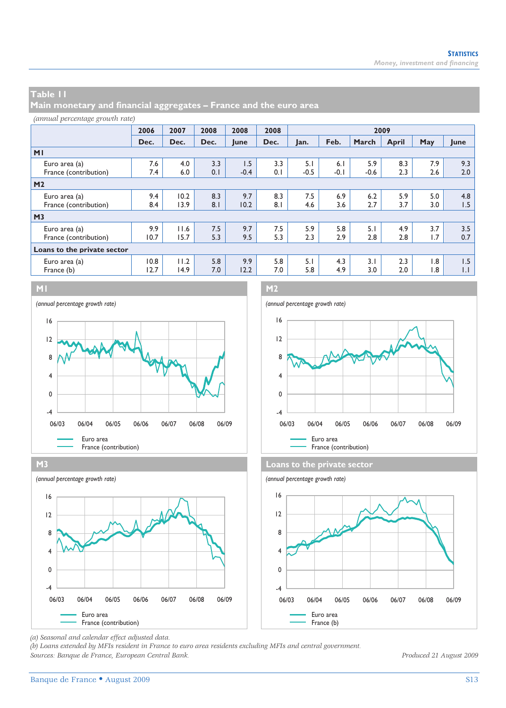**Main monetary and financial aggregates – France and the euro area** 

### *(annual percentage growth rate)*

|                             | 2006 | 2007 | 2008 | 2008   | 2008 | 2009   |        |        |              |     |                  |
|-----------------------------|------|------|------|--------|------|--------|--------|--------|--------------|-----|------------------|
|                             | Dec. | Dec. | Dec. | June   | Dec. | Jan.   | Feb.   | March  | <b>April</b> | May | June             |
| M <sub>1</sub>              |      |      |      |        |      |        |        |        |              |     |                  |
| Euro area (a)               | 7.6  | 4.0  | 3.3  | 1.5    | 3.3  | 5.1    | 6.1    | 5.9    | 8.3          | 7.9 | 9.3              |
| France (contribution)       | 7.4  | 6.0  | 0.1  | $-0.4$ | 0.1  | $-0.5$ | $-0.1$ | $-0.6$ | 2.3          | 2.6 | 2.0              |
| M <sub>2</sub>              |      |      |      |        |      |        |        |        |              |     |                  |
| Euro area (a)               | 9.4  | 10.2 | 8.3  | 9.7    | 8.3  | 7.5    | 6.9    | 6.2    | 5.9          | 5.0 | 4.8              |
| France (contribution)       | 8.4  | 13.9 | 8.1  | 10.2   | 8.1  | 4.6    | 3.6    | 2.7    | 3.7          | 3.0 | 1.5              |
| M <sub>3</sub>              |      |      |      |        |      |        |        |        |              |     |                  |
| Euro area (a)               | 9.9  | 11.6 | 7.5  | 9.7    | 7.5  | 5.9    | 5.8    | 5.1    | 4.9          | 3.7 | 3.5              |
| France (contribution)       | 10.7 | 15.7 | 5.3  | 9.5    | 5.3  | 2.3    | 2.9    | 2.8    | 2.8          | 1.7 | 0.7              |
| Loans to the private sector |      |      |      |        |      |        |        |        |              |     |                  |
| Euro area (a)               | 0.8  | 11.2 | 5.8  | 9.9    | 5.8  | 5.1    | 4.3    | 3.1    | 2.3          | 1.8 | 1.5              |
| France (b)                  | 12.7 | 14.9 | 7.0  | 12.2   | 7.0  | 5.8    | 4.9    | 3.0    | 2.0          | 1.8 | $\overline{1}$ . |













*(a) Seasonal and calendar effect adjusted data.* 

*(b) Loans extended by MFIs resident in France to euro area residents excluding MFIs and central government. Sources: Banque de France, European Central Bank. Produced 21 August 2009*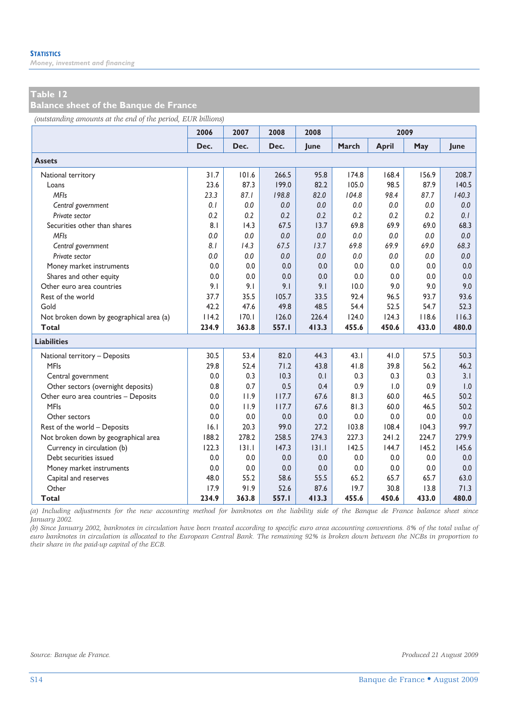*Money, investment and financing* 

### **Table 12**

**Balance sheet of the Banque de France** 

*(outstanding amounts at the end of the period, EUR billions)*

|                                          | 2006  | 2007  | 2008  | 2008  |       | 2009         |       |             |
|------------------------------------------|-------|-------|-------|-------|-------|--------------|-------|-------------|
|                                          | Dec.  | Dec.  | Dec.  | June  | March | <b>April</b> | May   | <b>lune</b> |
| <b>Assets</b>                            |       |       |       |       |       |              |       |             |
| National territory                       | 31.7  | 101.6 | 266.5 | 95.8  | 174.8 | 168.4        | 156.9 | 208.7       |
| Loans                                    | 23.6  | 87.3  | 199.0 | 82.2  | 105.0 | 98.5         | 87.9  | 140.5       |
| <b>MFIs</b>                              | 23.3  | 87.1  | 198.8 | 82.0  | 104.8 | 98.4         | 87.7  | 140.3       |
| Central government                       | 0.1   | 0.0   | 0.0   | 0.0   | 0.0   | 0.0          | 0.0   | 0.0         |
| Private sector                           | 0.2   | 0.2   | 0.2   | 0.2   | 0.2   | 0.2          | 0.2   | 0.1         |
| Securities other than shares             | 8.1   | 14.3  | 67.5  | 13.7  | 69.8  | 69.9         | 69.0  | 68.3        |
| <b>MFIs</b>                              | 0.0   | 0.0   | 0.0   | 0.0   | 0.0   | 0.0          | 0.0   | 0.0         |
| Central government                       | 8.1   | 14.3  | 67.5  | 13.7  | 69.8  | 69.9         | 69.0  | 68.3        |
| Private sector                           | 0.0   | 0.0   | 0.0   | 0.0   | 0.0   | 0.0          | 0.0   | 0.0         |
| Money market instruments                 | 0.0   | 0.0   | 0.0   | 0.0   | 0.0   | 0.0          | 0.0   | 0.0         |
| Shares and other equity                  | 0.0   | 0.0   | 0.0   | 0.0   | 0.0   | 0.0          | 0.0   | 0.0         |
| Other euro area countries                | 9.1   | 9.1   | 9.1   | 9.1   | 10.0  | 9.0          | 9.0   | 9.0         |
| Rest of the world                        | 37.7  | 35.5  | 105.7 | 33.5  | 92.4  | 96.5         | 93.7  | 93.6        |
| Gold                                     | 42.2  | 47.6  | 49.8  | 48.5  | 54.4  | 52.5         | 54.7  | 52.3        |
| Not broken down by geographical area (a) | 114.2 | 170.1 | 126.0 | 226.4 | 124.0 | 124.3        | 118.6 | 116.3       |
| <b>Total</b>                             | 234.9 | 363.8 | 557.I | 413.3 | 455.6 | 450.6        | 433.0 | 480.0       |
| <b>Liabilities</b>                       |       |       |       |       |       |              |       |             |
| National territory - Deposits            | 30.5  | 53.4  | 82.0  | 44.3  | 43.1  | 41.0         | 57.5  | 50.3        |
| <b>MFIs</b>                              | 29.8  | 52.4  | 71.2  | 43.8  | 41.8  | 39.8         | 56.2  | 46.2        |
| Central government                       | 0.0   | 0.3   | 10.3  | 0.1   | 0.3   | 0.3          | 0.3   | 3.1         |
| Other sectors (overnight deposits)       | 0.8   | 0.7   | 0.5   | 0.4   | 0.9   | 1.0          | 0.9   | 1.0         |
| Other euro area countries - Deposits     | 0.0   | 11.9  | 117.7 | 67.6  | 81.3  | 60.0         | 46.5  | 50.2        |
| <b>MFIs</b>                              | 0.0   | 11.9  | 117.7 | 67.6  | 81.3  | 60.0         | 46.5  | 50.2        |
| Other sectors                            | 0.0   | 0.0   | 0.0   | 0.0   | 0.0   | 0.0          | 0.0   | 0.0         |
| Rest of the world - Deposits             | 6.1   | 20.3  | 99.0  | 27.2  | 103.8 | 108.4        | 104.3 | 99.7        |
| Not broken down by geographical area     | 188.2 | 278.2 | 258.5 | 274.3 | 227.3 | 241.2        | 224.7 | 279.9       |
| Currency in circulation (b)              | 122.3 | 131.1 | 147.3 | 131.1 | 142.5 | 144.7        | 145.2 | 145.6       |
| Debt securities issued                   | 0.0   | 0.0   | 0.0   | 0.0   | 0.0   | 0.0          | 0.0   | 0.0         |
| Money market instruments                 | 0.0   | 0.0   | 0.0   | 0.0   | 0.0   | 0.0          | 0.0   | 0.0         |
| Capital and reserves                     | 48.0  | 55.2  | 58.6  | 55.5  | 65.2  | 65.7         | 65.7  | 63.0        |
| Other                                    | 17.9  | 91.9  | 52.6  | 87.6  | 19.7  | 30.8         | 13.8  | 71.3        |
| Total                                    | 234.9 | 363.8 | 557.1 | 413.3 | 455.6 | 450.6        | 433.0 | 480.0       |

*(a) Including adjustments for the new accounting method for banknotes on the liability side of the Banque de France balance sheet since January 2002.* 

*(b) Since January 2002, banknotes in circulation have been treated according to specific euro area accounting conventions. 8% of the total value of euro banknotes in circulation is allocated to the European Central Bank. The remaining 92% is broken down between the NCBs in proportion to their share in the paid-up capital of the ECB.*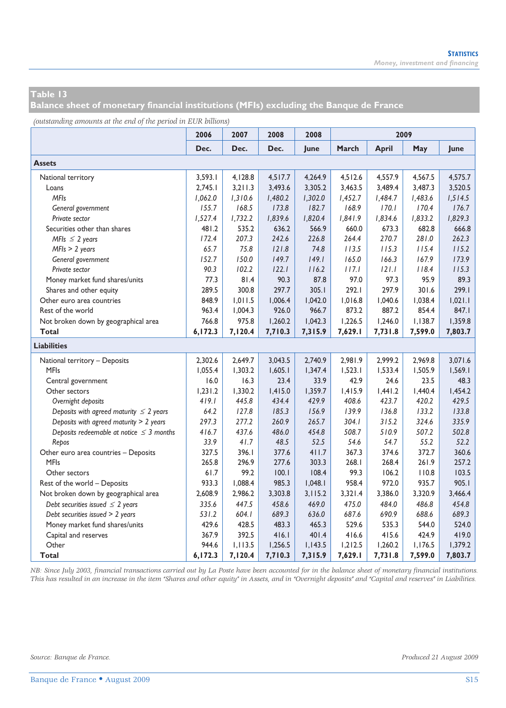**Balance sheet of monetary financial institutions (MFIs) excluding the Banque de France** 

*(outstanding amounts at the end of the period in EUR billions)*

| ு                                             | 2006    | 2007    | 2008    | 2008    |         |              | 2009    |         |
|-----------------------------------------------|---------|---------|---------|---------|---------|--------------|---------|---------|
|                                               | Dec.    | Dec.    | Dec.    | June    | March   | <b>April</b> | May     | June    |
| <b>Assets</b>                                 |         |         |         |         |         |              |         |         |
| National territory                            | 3,593.1 | 4,128.8 | 4,517.7 | 4,264.9 | 4,512.6 | 4,557.9      | 4,567.5 | 4,575.7 |
| Loans                                         | 2.745.1 | 3.211.3 | 3,493.6 | 3,305.2 | 3.463.5 | 3.489.4      | 3,487.3 | 3,520.5 |
| <b>MFIs</b>                                   | 1,062.0 | 1,310.6 | 1,480.2 | 1,302.0 | 1,452.7 | 1,484.7      | 1,483.6 | 1,514.5 |
| General government                            | 155.7   | 168.5   | 173.8   | 182.7   | 168.9   | 170.1        | 170.4   | 176.7   |
| Private sector                                | 1,527.4 | 1,732.2 | 1,839.6 | 1,820.4 | 1,841.9 | 1,834.6      | 1,833.2 | 1,829.3 |
| Securities other than shares                  | 481.2   | 535.2   | 636.2   | 566.9   | 660.0   | 673.3        | 682.8   | 666.8   |
| MFIs $\leq$ 2 years                           | 172.4   | 207.3   | 242.6   | 226.8   | 264.4   | 270.7        | 281.0   | 262.3   |
| $MFIs > 2 \text{ years}$                      | 65.7    | 75.8    | 121.8   | 74.8    | 113.5   | 115.3        | 115.4   | 115.2   |
| General government                            | 152.7   | 150.0   | 149.7   | 149.1   | 165.0   | 166.3        | 167.9   | 173.9   |
| Private sector                                | 90.3    | 102.2   | 122.1   | 116.2   | 117.1   | 121.1        | 118.4   | 115.3   |
| Money market fund shares/units                | 77.3    | 81.4    | 90.3    | 87.8    | 97.0    | 97.3         | 95.9    | 89.3    |
| Shares and other equity                       | 289.5   | 300.8   | 297.7   | 305.1   | 292.1   | 297.9        | 301.6   | 299.1   |
| Other euro area countries                     | 848.9   | 1,011.5 | 1,006.4 | 1,042.0 | 1,016.8 | 1,040.6      | 1,038.4 | 1,021.1 |
| Rest of the world                             | 963.4   | 1,004.3 | 926.0   | 966.7   | 873.2   | 887.2        | 854.4   | 847.1   |
| Not broken down by geographical area          | 766.8   | 975.8   | 1,260.2 | 1,042.3 | 1,226.5 | 1,246.0      | 1,138.7 | 1,359.8 |
| <b>Total</b>                                  | 6,172.3 | 7,120.4 | 7,710.3 | 7,315.9 | 7,629.1 | 7,731.8      | 7,599.0 | 7,803.7 |
| <b>Liabilities</b>                            |         |         |         |         |         |              |         |         |
| National territory - Deposits                 | 2,302.6 | 2,649.7 | 3,043.5 | 2.740.9 | 2,981.9 | 2.999.2      | 2.969.8 | 3,071.6 |
| <b>MFIs</b>                                   | 1,055.4 | 1,303.2 | 1,605.1 | 1,347.4 | 1,523.1 | 1,533.4      | 1,505.9 | 1,569.1 |
| Central government                            | 16.0    | 16.3    | 23.4    | 33.9    | 42.9    | 24.6         | 23.5    | 48.3    |
| Other sectors                                 | 1,231.2 | 1,330.2 | 1,415.0 | 1,359.7 | 1,415.9 | 1,441.2      | 1,440.4 | 1,454.2 |
| Overnight deposits                            | 419.1   | 445.8   | 434.4   | 429.9   | 408.6   | 423.7        | 420.2   | 429.5   |
| Deposits with agreed maturity $\leq 2$ years  | 64.2    | 127.8   | 185.3   | 156.9   | 139.9   | 136.8        | 133.2   | 133.8   |
| Deposits with agreed maturity > 2 years       | 297.3   | 277.2   | 260.9   | 265.7   | 304.1   | 315.2        | 324.6   | 335.9   |
| Deposits redeemable at notice $\leq$ 3 months | 416.7   | 437.6   | 486.0   | 454.8   | 508.7   | 510.9        | 507.2   | 502.8   |
| Repos                                         | 33.9    | 41.7    | 48.5    | 52.5    | 54.6    | 54.7         | 55.2    | 52.2    |
| Other euro area countries - Deposits          | 327.5   | 396.I   | 377.6   | 411.7   | 367.3   | 374.6        | 372.7   | 360.6   |
| <b>MFIs</b>                                   | 265.8   | 296.9   | 277.6   | 303.3   | 268.1   | 268.4        | 261.9   | 257.2   |
| Other sectors                                 | 61.7    | 99.2    | 100.1   | 108.4   | 99.3    | 106.2        | 110.8   | 103.5   |
| Rest of the world - Deposits                  | 933.3   | 1,088.4 | 985.3   | 1,048.1 | 958.4   | 972.0        | 935.7   | 905.1   |
| Not broken down by geographical area          | 2,608.9 | 2,986.2 | 3,303.8 | 3,115.2 | 3,321.4 | 3,386.0      | 3,320.9 | 3,466.4 |
| Debt securities issued $\leq$ 2 years         | 335.6   | 447.5   | 458.6   | 469.0   | 475.0   | 484.0        | 486.8   | 454.8   |
| Debt securities issued > 2 years              | 531.2   | 604.1   | 689.3   | 636.0   | 687.6   | 690.9        | 688.6   | 689.3   |
| Money market fund shares/units                | 429.6   | 428.5   | 483.3   | 465.3   | 529.6   | 535.3        | 544.0   | 524.0   |
| Capital and reserves                          | 367.9   | 392.5   | 416.1   | 401.4   | 416.6   | 415.6        | 424.9   | 419.0   |
| Other                                         | 944.6   | 1,113.5 | 1,256.5 | 1,143.5 | 1,212.5 | 1,260.2      | 1,176.5 | 1,379.2 |
| Total                                         | 6,172.3 | 7,120.4 | 7,710.3 | 7,315.9 | 7,629.1 | 7,731.8      | 7,599.0 | 7,803.7 |

*NB: Since July 2003, financial transactions carried out by La Poste have been accounted for in the balance sheet of monetary financial institutions. This has resulted in an increase in the item "Shares and other equity" in Assets, and in "Overnight deposits" and "Capital and reserves" in Liabilities.*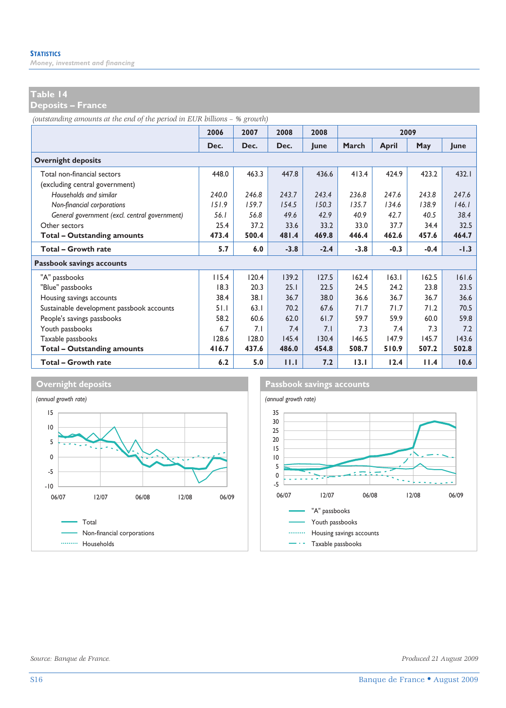*Money, investment and financing* 

### **Table 14**

**Deposits – France** 

*(outstanding amounts at the end of the period in EUR billions – % growth)*

|                                               | 2006  | 2007  | 2008   | 2008        |        | 2009   |        |        |  |
|-----------------------------------------------|-------|-------|--------|-------------|--------|--------|--------|--------|--|
|                                               | Dec.  | Dec.  | Dec.   | <b>lune</b> | March  | April  | May    | lune   |  |
| <b>Overnight deposits</b>                     |       |       |        |             |        |        |        |        |  |
| Total non-financial sectors                   | 448.0 | 463.3 | 447.8  | 436.6       | 413.4  | 424.9  | 423.2  | 432.1  |  |
| (excluding central government)                |       |       |        |             |        |        |        |        |  |
| Households and similar                        | 240.0 | 246.8 | 243.7  | 243.4       | 236.8  | 247.6  | 243.8  | 247.6  |  |
| Non-financial corporations                    | 151.9 | 159.7 | 154.5  | 150.3       | 135.7  | 134.6  | 138.9  | 146.1  |  |
| General government (excl. central government) | 56.1  | 56.8  | 49.6   | 42.9        | 40.9   | 42.7   | 40.5   | 38.4   |  |
| Other sectors                                 | 25.4  | 37.2  | 33.6   | 33.2        | 33.0   | 37.7   | 34.4   | 32.5   |  |
| Total - Outstanding amounts                   | 473.4 | 500.4 | 481.4  | 469.8       | 446.4  | 462.6  | 457.6  | 464.7  |  |
| <b>Total - Growth rate</b>                    | 5.7   | 6.0   | $-3.8$ | $-2.4$      | $-3.8$ | $-0.3$ | $-0.4$ | $-1.3$ |  |
| Passbook savings accounts                     |       |       |        |             |        |        |        |        |  |
| "A" passbooks                                 | 115.4 | 120.4 | 139.2  | 127.5       | 162.4  | 163.1  | 162.5  | 161.6  |  |
| "Blue" passbooks                              | 18.3  | 20.3  | 25.1   | 22.5        | 24.5   | 24.2   | 23.8   | 23.5   |  |
| Housing savings accounts                      | 38.4  | 38.1  | 36.7   | 38.0        | 36.6   | 36.7   | 36.7   | 36.6   |  |
| Sustainable development passbook accounts     | 51.1  | 63.1  | 70.2   | 67.6        | 71.7   | 71.7   | 71.2   | 70.5   |  |
| People's savings passbooks                    | 58.2  | 60.6  | 62.0   | 61.7        | 59.7   | 59.9   | 60.0   | 59.8   |  |
| Youth passbooks                               | 6.7   | 7.1   | 7.4    | 7.1         | 7.3    | 7.4    | 7.3    | 7.2    |  |
| Taxable passbooks                             | 128.6 | 128.0 | 145.4  | 130.4       | 146.5  | 147.9  | 145.7  | 143.6  |  |
| <b>Total - Outstanding amounts</b>            | 416.7 | 437.6 | 486.0  | 454.8       | 508.7  | 510.9  | 507.2  | 502.8  |  |
| <b>Total - Growth rate</b>                    | 6.2   | 5.0   | 11.1   | 7.2         | 13.1   | 12.4   | 11.4   | 10.6   |  |



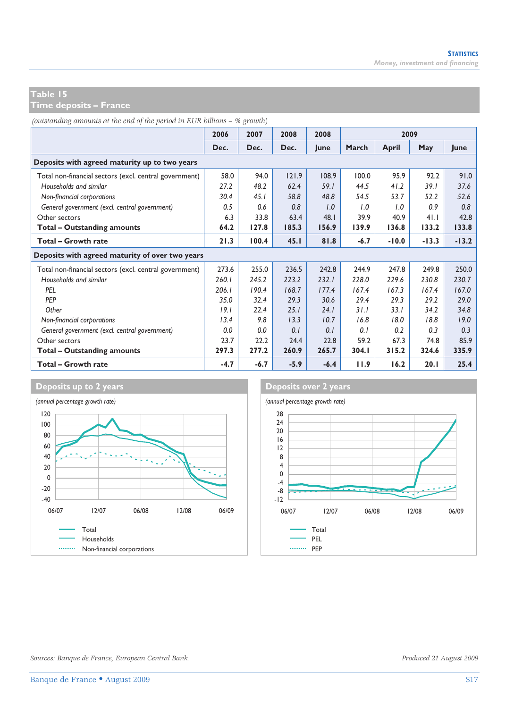**Time deposits – France** 

*(outstanding amounts at the end of the period in EUR billions – % growth)*

|                                                        | 2006   | 2007   | 2008   | 2008   |        | 2009    |         |         |
|--------------------------------------------------------|--------|--------|--------|--------|--------|---------|---------|---------|
|                                                        | Dec.   | Dec.   | Dec.   | lune   | March  | April   | May     | lune    |
| Deposits with agreed maturity up to two years          |        |        |        |        |        |         |         |         |
| Total non-financial sectors (excl. central government) | 58.0   | 94.0   | 121.9  | 108.9  | 100.0  | 95.9    | 92.2    | 91.0    |
| Households and similar                                 | 27.2   | 48.2   | 62.4   | 59.1   | 44.5   | 41.2    | 39.1    | 37.6    |
| Non-financial corporations                             | 30.4   | 45.1   | 58.8   | 48.8   | 54.5   | 53.7    | 52.2    | 52.6    |
| General government (excl. central government)          | 0.5    | 0.6    | 0.8    | 1.0    | 1.0    | 1.0     | 0.9     | 0.8     |
| Other sectors                                          | 6.3    | 33.8   | 63.4   | 48.1   | 39.9   | 40.9    | 41.1    | 42.8    |
| Total - Outstanding amounts                            | 64.2   | 127.8  | 185.3  | 156.9  | 139.9  | 136.8   | 133.2   | 133.8   |
| <b>Total - Growth rate</b>                             | 21.3   | 100.4  | 45.1   | 81.8   | $-6.7$ | $-10.0$ | $-13.3$ | $-13.2$ |
| Deposits with agreed maturity of over two years        |        |        |        |        |        |         |         |         |
| Total non-financial sectors (excl. central government) | 273.6  | 255.0  | 236.5  | 242.8  | 244.9  | 247.8   | 249.8   | 250.0   |
| Households and similar                                 | 260.1  | 245.2  | 223.2  | 232.1  | 228.0  | 229.6   | 230.8   | 230.7   |
| PEL                                                    | 206.1  | 190.4  | 168.7  | 177.4  | 167.4  | 167.3   | 167.4   | 167.0   |
| PEP                                                    | 35.0   | 32.4   | 29.3   | 30.6   | 29.4   | 29.3    | 29.2    | 29.0    |
| Other                                                  | 19.1   | 22.4   | 25.1   | 24.1   | 31.1   | 33.1    | 34.2    | 34.8    |
| Non-financial corporations                             | 13.4   | 9.8    | 13.3   | 10.7   | 16.8   | 18.0    | 18.8    | 19.0    |
| General government (excl. central government)          | 0.0    | 0.0    | 0.1    | 0.1    | 0.1    | 0.2     | 0.3     | 0.3     |
| Other sectors                                          | 23.7   | 22.2   | 24.4   | 22.8   | 59.2   | 67.3    | 74.8    | 85.9    |
| <b>Total - Outstanding amounts</b>                     | 297.3  | 277.2  | 260.9  | 265.7  | 304.1  | 315.2   | 324.6   | 335.9   |
| <b>Total - Growth rate</b>                             | $-4.7$ | $-6.7$ | $-5.9$ | $-6.4$ | 11.9   | 16.2    | 20.1    | 25.4    |



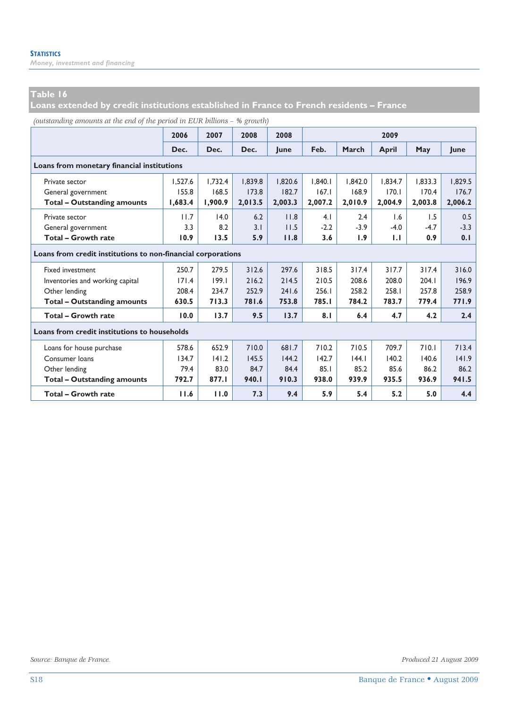*Money, investment and financing* 

# **Table 16**

**Loans extended by credit institutions established in France to French residents – France** 

| (outstanding amounts at the end of the period in EUR billions - % growth) |  |  |  |
|---------------------------------------------------------------------------|--|--|--|
|---------------------------------------------------------------------------|--|--|--|

|                                              | 2006                                                         | 2007    | 2008    | 2008    | 2009    |         |         |         |             |
|----------------------------------------------|--------------------------------------------------------------|---------|---------|---------|---------|---------|---------|---------|-------------|
|                                              | Dec.                                                         | Dec.    | Dec.    | lune    | Feb.    | March   | April   | May     | <b>lune</b> |
| Loans from monetary financial institutions   |                                                              |         |         |         |         |         |         |         |             |
| Private sector                               | 1.527.6                                                      | 1.732.4 | 1.839.8 | 1.820.6 | 1.840.1 | 1.842.0 | 1.834.7 | 1.833.3 | 1.829.5     |
| General government                           | 155.8                                                        | 168.5   | 173.8   | 182.7   | 167.1   | 168.9   | 170.1   | 170.4   | 176.7       |
| <b>Total - Outstanding amounts</b>           | 1.683.4                                                      | 1,900.9 | 2,013.5 | 2,003.3 | 2,007.2 | 2,010.9 | 2,004.9 | 2.003.8 | 2,006.2     |
| Private sector                               | 11.7                                                         | 14.0    | 6.2     | 11.8    | 4.1     | 2.4     | 1.6     | 1.5     | 0.5         |
| General government                           | 3.3                                                          | 8.2     | 3.1     | 11.5    | $-2.2$  | $-3.9$  | $-4.0$  | $-4.7$  | $-3.3$      |
| <b>Total - Growth rate</b>                   | 10.9                                                         | 13.5    | 5.9     | 11.8    | 3.6     | 1.9     | 1.1     | 0.9     | 0.1         |
|                                              | Loans from credit institutions to non-financial corporations |         |         |         |         |         |         |         |             |
| <b>Fixed investment</b>                      | 250.7                                                        | 279.5   | 312.6   | 297.6   | 318.5   | 317.4   | 317.7   | 317.4   | 316.0       |
| Inventories and working capital              | 171.4                                                        | 199.1   | 216.2   | 214.5   | 210.5   | 208.6   | 208.0   | 204.1   | 196.9       |
| Other lending                                | 208.4                                                        | 234.7   | 252.9   | 241.6   | 256.1   | 258.2   | 258.1   | 257.8   | 258.9       |
| <b>Total - Outstanding amounts</b>           | 630.5                                                        | 713.3   | 781.6   | 753.8   | 785.I   | 784.2   | 783.7   | 779.4   | 771.9       |
| Total - Growth rate                          | 10.0                                                         | 13.7    | 9.5     | 13.7    | 8.1     | 6.4     | 4.7     | 4.2     | 2.4         |
| Loans from credit institutions to households |                                                              |         |         |         |         |         |         |         |             |
| Loans for house purchase                     | 578.6                                                        | 652.9   | 710.0   | 681.7   | 710.2   | 710.5   | 709.7   | 710.1   | 713.4       |
| Consumer loans                               | 134.7                                                        | 141.2   | 145.5   | 144.2   | 142.7   | 44.1    | 140.2   | 140.6   | 141.9       |
| Other lending                                | 79.4                                                         | 83.0    | 84.7    | 84.4    | 85.1    | 85.2    | 85.6    | 86.2    | 86.2        |
| <b>Total - Outstanding amounts</b>           | 792.7                                                        | 877.I   | 940.I   | 910.3   | 938.0   | 939.9   | 935.5   | 936.9   | 941.5       |
| <b>Total - Growth rate</b>                   | 11.6                                                         | 11.0    | 7.3     | 9.4     | 5.9     | 5.4     | 5.2     | 5.0     | 4.4         |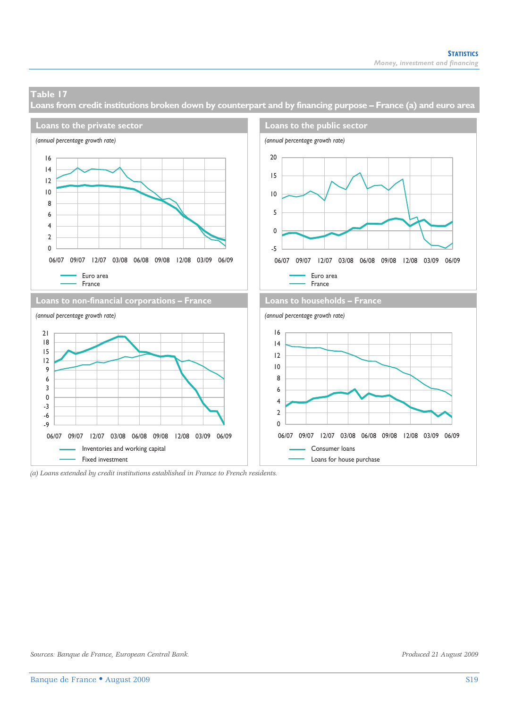**Loans from credit institutions broken down by counterpart and by financing purpose – France (a) and euro area** 



*(a) Loans extended by credit institutions established in France to French residents.*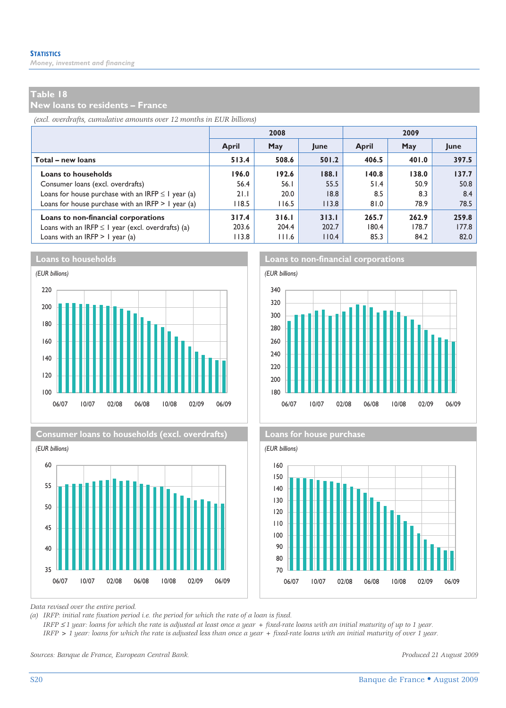*Money, investment and financing* 

### **Table 18**

**New loans to residents – France** 

*(excl. overdrafts, cumulative amounts over 12 months in EUR billions)*

|                                                         |       | 2008  |       | 2009  |       |       |  |  |
|---------------------------------------------------------|-------|-------|-------|-------|-------|-------|--|--|
|                                                         | April | May   | June  | April | May   | June  |  |  |
| Total – new loans                                       | 513.4 | 508.6 | 501.2 | 406.5 | 401.0 | 397.5 |  |  |
| <b>Loans to households</b>                              | 196.0 | 192.6 | 188.1 | 140.8 | 138.0 | 137.7 |  |  |
| Consumer loans (excl. overdrafts)                       | 56.4  | 56.I  | 55.5  | 51.4  | 50.9  | 50.8  |  |  |
| Loans for house purchase with an IRFP $\leq$ 1 year (a) | 21.1  | 20.0  | 8.8   | 8.5   | 8.3   | 8.4   |  |  |
| Loans for house purchase with an IRFP $> 1$ year (a)    | 118.5 | 116.5 | 113.8 | 81.0  | 78.9  | 78.5  |  |  |
| Loans to non-financial corporations                     | 317.4 | 316.1 | 313.1 | 265.7 | 262.9 | 259.8 |  |  |
| Loans with an IRFP $\leq$ I year (excl. overdrafts) (a) | 203.6 | 204.4 | 202.7 | 180.4 | 178.7 | 177.8 |  |  |
| Loans with an IRFP $> 1$ year (a)                       | 113.8 | 111.6 | 110.4 | 85.3  | 84.2  | 82.0  |  |  |











*Data revised over the entire period.* 

*(a) IRFP: initial rate fixation period i.e. the period for which the rate of a loan is fixed.* 

 *IRFP* ≤ *1 year: loans for which the rate is adjusted at least once a year + fixed-rate loans with an initial maturity of up to 1 year. IRFP > 1 year: loans for which the rate is adjusted less than once a year + fixed-rate loans with an initial maturity of over 1 year.* 

*Sources: Banque de France, European Central Bank. Produced 21 August 2009*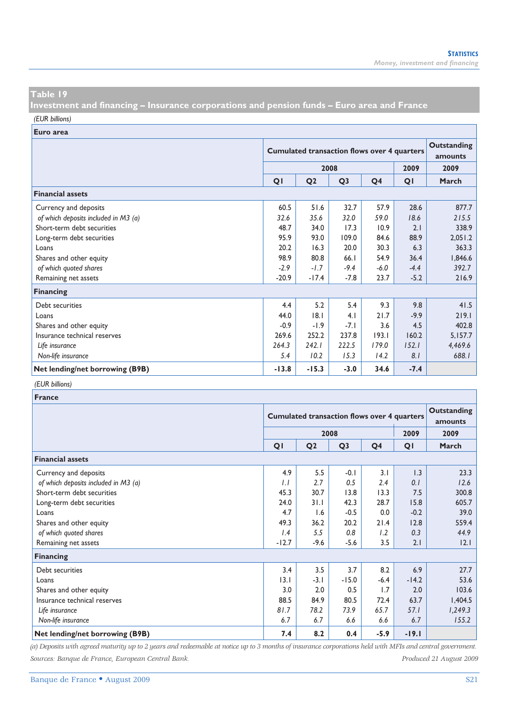**Investment and financing – Insurance corporations and pension funds – Euro area and France** 

*(EUR billions)*

**Euro area**

|                                      |         | <b>Cumulated transaction flows over 4 quarters</b> | Outstanding<br>amounts |                |        |         |
|--------------------------------------|---------|----------------------------------------------------|------------------------|----------------|--------|---------|
|                                      |         | 2009                                               | 2009                   |                |        |         |
|                                      | QI      | Q <sub>2</sub>                                     | Q <sub>3</sub>         | Q <sub>4</sub> | QI     | March   |
| <b>Financial assets</b>              |         |                                                    |                        |                |        |         |
| Currency and deposits                | 60.5    | 51.6                                               | 32.7                   | 57.9           | 28.6   | 877.7   |
| of which deposits included in M3 (a) | 32.6    | 35.6                                               | 32.0                   | 59.0           | 18.6   | 215.5   |
| Short-term debt securities           | 48.7    | 34.0                                               | 17.3                   | 10.9           | 2.1    | 338.9   |
| Long-term debt securities            | 95.9    | 93.0                                               | 109.0                  | 84.6           | 88.9   | 2,051.2 |
| Loans                                | 20.2    | 16.3                                               | 20.0                   | 30.3           | 6.3    | 363.3   |
| Shares and other equity              | 98.9    | 80.8                                               | 66.1                   | 54.9           | 36.4   | 1,846.6 |
| of which quoted shares               | $-2.9$  | $-1.7$                                             | $-9.4$                 | $-6.0$         | $-4.4$ | 392.7   |
| Remaining net assets                 | $-20.9$ | $-17.4$                                            | $-7.8$                 | 23.7           | $-5.2$ | 216.9   |
| <b>Financing</b>                     |         |                                                    |                        |                |        |         |
| Debt securities                      | 4.4     | 5.2                                                | 5.4                    | 9.3            | 9.8    | 41.5    |
| Loans                                | 44.0    | 8.1                                                | 4.1                    | 21.7           | $-9.9$ | 219.1   |
| Shares and other equity              | $-0.9$  | $-1.9$                                             | $-7.1$                 | 3.6            | 4.5    | 402.8   |
| Insurance technical reserves         | 269.6   | 252.2                                              | 237.8                  | 193.1          | 160.2  | 5,157.7 |
| Life insurance                       | 264.3   | 242.1                                              | 222.5                  | 179.0          | 152.1  | 4,469.6 |
| Non-life insurance                   | 5.4     | 10.2                                               | 15.3                   | 14.2           | 8.1    | 688.1   |
| Net lending/net borrowing (B9B)      | $-13.8$ | $-15.3$                                            | $-3.0$                 | 34.6           | $-7.4$ |         |

### *(EUR billions)*

| <b>France</b>                        |                |                                                    |                               |                |         |               |
|--------------------------------------|----------------|----------------------------------------------------|-------------------------------|----------------|---------|---------------|
|                                      |                | <b>Cumulated transaction flows over 4 quarters</b> | <b>Outstanding</b><br>amounts |                |         |               |
|                                      |                | 2009                                               | 2009                          |                |         |               |
|                                      | Q <sub>1</sub> | Q <sub>2</sub>                                     | Q <sub>3</sub>                | Q <sub>4</sub> | QI      | March         |
| <b>Financial assets</b>              |                |                                                    |                               |                |         |               |
| Currency and deposits                | 4.9            | 5.5                                                | $-0.1$                        | 3.1            | 1.3     | 23.3          |
| of which deposits included in M3 (a) | 1.1            | 2.7                                                | 0.5                           | 2.4            | 0.1     | 12.6          |
| Short-term debt securities           | 45.3           | 30.7                                               | 13.8                          | 13.3           | 7.5     | 300.8         |
| Long-term debt securities            | 24.0           | 31.1                                               | 42.3                          | 28.7           | 15.8    | 605.7         |
| Loans                                | 4.7            | 1.6                                                | $-0.5$                        | 0.0            | $-0.2$  | 39.0          |
| Shares and other equity              | 49.3           | 36.2                                               | 20.2                          | 21.4           | 12.8    | 559.4         |
| of which quoted shares               | 1.4            | 5.5                                                | 0.8                           | 1.2            | 0.3     | 44.9          |
| Remaining net assets                 | $-12.7$        | $-9.6$                                             | $-5.6$                        | 3.5            | 2.1     | $ 2.1\rangle$ |
| Financing                            |                |                                                    |                               |                |         |               |
| Debt securities                      | 3.4            | 3.5                                                | 3.7                           | 8.2            | 6.9     | 27.7          |
| Loans                                | 3.1            | $-3.1$                                             | $-15.0$                       | $-6.4$         | $-14.2$ | 53.6          |
| Shares and other equity              | 3.0            | 2.0                                                | 0.5                           | 1.7            | 2.0     | 103.6         |
| Insurance technical reserves         | 88.5           | 84.9                                               | 80.5                          | 72.4           | 63.7    | 1,404.5       |
| Life insurance                       | 81.7           | 78.2                                               | 73.9                          | 65.7           | 57.1    | 1,249.3       |
| Non-life insurance                   | 6.7            | 6.7                                                | 6.6                           | 6.6            | 6.7     | 155.2         |
| Net lending/net borrowing (B9B)      | 7.4            | 8.2                                                | 0.4                           | $-5.9$         | $-19.1$ |               |

*(a) Deposits with agreed maturity up to 2 years and redeemable at notice up to 3 months of insurance corporations held with MFIs and central government. Sources: Banque de France, European Central Bank. Produced 21 August 2009*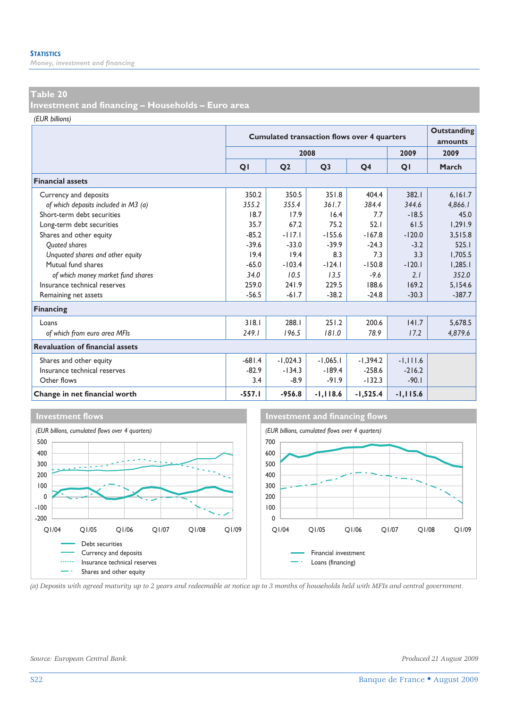*Money, investment and financing* 

### **Table 20**

**Investment and financing – Households – Euro area** 

*(EUR billions)*

|                                        |                | <b>Cumulated transaction flows over 4 quarters</b> | Outstanding<br>amounts |                |             |          |  |  |
|----------------------------------------|----------------|----------------------------------------------------|------------------------|----------------|-------------|----------|--|--|
|                                        |                |                                                    | 2008                   |                | 2009        | 2009     |  |  |
|                                        | Q <sub>1</sub> | Q <sub>2</sub>                                     | Q <sub>3</sub>         | Q <sub>4</sub> | QI          | March    |  |  |
| <b>Financial assets</b>                |                |                                                    |                        |                |             |          |  |  |
| Currency and deposits                  | 350.2          | 350.5                                              | 351.8                  | 404.4          | 382.1       | 6.161.7  |  |  |
| of which deposits included in M3 (a)   | 355.2          | 355.4                                              | 361.7                  | 384.4          | 344.6       | 4,866.1  |  |  |
| Short-term debt securities             | 18.7           | 17.9                                               | 16.4                   | 7.7            | $-18.5$     | 45.0     |  |  |
| Long-term debt securities              | 35.7           | 67.2                                               | 75.2                   | 52.1           | 61.5        | 1.291.9  |  |  |
| Shares and other equity                | $-85.2$        | $-117.1$                                           | $-155.6$               | $-167.8$       | $-120.0$    | 3.515.8  |  |  |
| <b>Ouoted shares</b>                   | $-39.6$        | $-33.0$                                            | $-39.9$                | $-24.3$        | $-3.2$      | 525.1    |  |  |
| Unquoted shares and other equity       | 19.4           | 19.4                                               | 8.3                    | 7.3            | 3.3         | 1.705.5  |  |  |
| Mutual fund shares                     | $-65.0$        | $-103.4$                                           | $-124.1$               | $-150.8$       | $-120.1$    | 1,285.1  |  |  |
| of which money market fund shares      | 34.0           | 10.5                                               | 13.5                   | $-9.6$         | 2.1         | 352.0    |  |  |
| Insurance technical reserves           | 259.0          | 241.9                                              | 229.5                  | 188.6          | 169.2       | 5,154.6  |  |  |
| Remaining net assets                   | $-56.5$        | $-61.7$                                            | $-38.2$                | $-24.8$        | $-30.3$     | $-387.7$ |  |  |
| <b>Financing</b>                       |                |                                                    |                        |                |             |          |  |  |
| Loans                                  | 318.1          | 288.I                                              | 251.2                  | 200.6          | 141.7       | 5,678.5  |  |  |
| of which from euro area MFIs           | 249.1          | 196.5                                              | 181.0                  | 78.9           | 17.2        | 4,879.6  |  |  |
| <b>Revaluation of financial assets</b> |                |                                                    |                        |                |             |          |  |  |
| Shares and other equity                | $-681.4$       | $-1,024.3$                                         | $-1,065.1$             | $-1,394.2$     | $-1, 111.6$ |          |  |  |
| Insurance technical reserves           | $-82.9$        | $-134.3$                                           | $-189.4$               | $-258.6$       | $-216.2$    |          |  |  |
| Other flows                            | 3.4            | $-8.9$                                             | $-91.9$                | $-132.3$       | $-90.1$     |          |  |  |
| Change in net financial worth          | $-557.1$       | $-956.8$                                           | $-1, 118.6$            | $-1,525.4$     | $-1, 115.6$ |          |  |  |







*(a) Deposits with agreed maturity up to 2 years and redeemable at notice up to 3 months of households held with MFIs and central government.*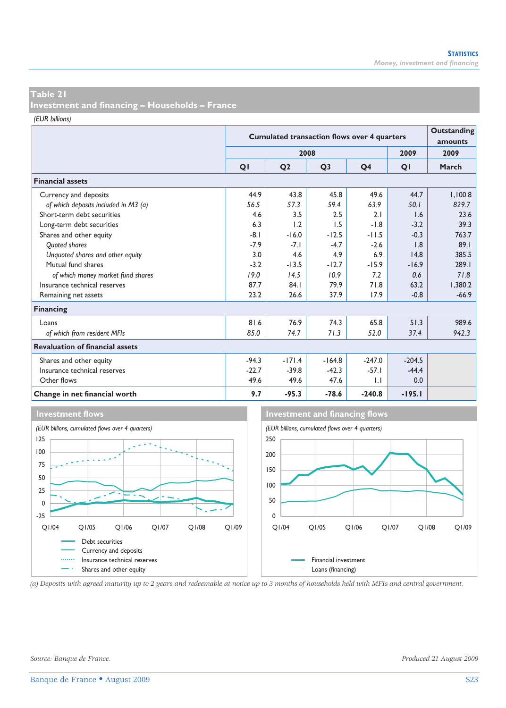**Investment and financing – Households – France** 

*(EUR billions)*

|                                        |                | <b>Cumulated transaction flows over 4 quarters</b> | Outstanding<br>amounts |                |          |         |
|----------------------------------------|----------------|----------------------------------------------------|------------------------|----------------|----------|---------|
|                                        |                |                                                    | 2008                   |                | 2009     | 2009    |
|                                        | Q <sub>1</sub> | Q <sub>2</sub>                                     | Q <sub>3</sub>         | Q <sub>4</sub> | QI       | March   |
| <b>Financial assets</b>                |                |                                                    |                        |                |          |         |
| Currency and deposits                  | 44.9           | 43.8                                               | 45.8                   | 49.6           | 44.7     | 1,100.8 |
| of which deposits included in M3 (a)   | 56.5           | 57.3                                               | 59.4                   | 63.9           | 50.1     | 829.7   |
| Short-term debt securities             | 4.6            | 3.5                                                | 2.5                    | 2.1            | 1.6      | 23.6    |
| Long-term debt securities              | 6.3            | 1.2                                                | 1.5                    | $-1.8$         | $-3.2$   | 39.3    |
| Shares and other equity                | $-8.1$         | $-16.0$                                            | $-12.5$                | $-11.5$        | $-0.3$   | 763.7   |
| <b>Ouoted shares</b>                   | $-7.9$         | $-7.1$                                             | $-4.7$                 | $-2.6$         | 1.8      | 89.1    |
| Unquoted shares and other equity       | 3.0            | 4.6                                                | 4.9                    | 6.9            | 14.8     | 385.5   |
| Mutual fund shares                     | $-3.2$         | $-13.5$                                            | $-12.7$                | $-15.9$        | $-16.9$  | 289.1   |
| of which money market fund shares      | 19.0           | 14.5                                               | 10.9                   | 7.2            | 0.6      | 71.8    |
| Insurance technical reserves           | 87.7           | 84.1                                               | 79.9                   | 71.8           | 63.2     | 1,380.2 |
| Remaining net assets                   | 23.2           | 26.6                                               | 37.9                   | 17.9           | $-0.8$   | $-66.9$ |
| <b>Financing</b>                       |                |                                                    |                        |                |          |         |
| Loans                                  | 81.6           | 76.9                                               | 74.3                   | 65.8           | 51.3     | 989.6   |
| of which from resident MFIs            | 85.0           | 74.7                                               | 71.3                   | 52.0           | 37.4     | 942.3   |
| <b>Revaluation of financial assets</b> |                |                                                    |                        |                |          |         |
| Shares and other equity                | $-94.3$        | $-171.4$                                           | $-164.8$               | $-247.0$       | $-204.5$ |         |
| Insurance technical reserves           | $-22.7$        | $-39.8$                                            | $-42.3$                | $-57.1$        | $-44.4$  |         |
| Other flows                            | 49.6           | 49.6                                               | 47.6                   | $\mathsf{L}$   | 0.0      |         |
| Change in net financial worth          | 9.7            | $-95.3$                                            | $-78.6$                | $-240.8$       | $-195.1$ |         |



*(a) Deposits with agreed maturity up to 2 years and redeemable at notice up to 3 months of households held with MFIs and central government.*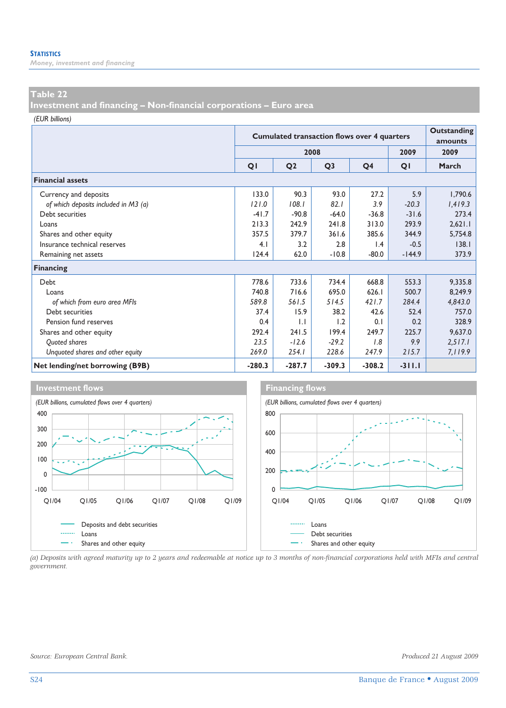*Money, investment and financing* 

### **Table 22**

**Investment and financing – Non-financial corporations – Euro area** 

*(EUR billions)*

|                                      |          | <b>Cumulated transaction flows over 4 quarters</b> | Outstanding<br>amounts |                 |          |         |
|--------------------------------------|----------|----------------------------------------------------|------------------------|-----------------|----------|---------|
|                                      |          |                                                    | 2008                   |                 | 2009     | 2009    |
|                                      | QI       | Q <sub>2</sub>                                     | Q <sub>3</sub>         | Q <sub>4</sub>  | QI       | March   |
| <b>Financial assets</b>              |          |                                                    |                        |                 |          |         |
| Currency and deposits                | 133.0    | 90.3                                               | 93.0                   | 27.2            | 5.9      | 1,790.6 |
| of which deposits included in M3 (a) | 121.0    | 108.1                                              | 82.1                   | 3.9             | $-20.3$  | 1,419.3 |
| Debt securities                      | $-41.7$  | $-90.8$                                            | $-64.0$                | $-36.8$         | $-31.6$  | 273.4   |
| Loans                                | 213.3    | 242.9                                              | 241.8                  | 313.0           | 293.9    | 2,621.1 |
| Shares and other equity              | 357.5    | 379.7                                              | 361.6                  | 385.6           | 344.9    | 5,754.8 |
| Insurance technical reserves         | 4.1      | 3.2                                                | 2.8                    | $\mathsf{I}$ .4 | $-0.5$   | 138.1   |
| Remaining net assets                 | 124.4    | 62.0                                               | $-10.8$                | $-80.0$         | $-144.9$ | 373.9   |
| <b>Financing</b>                     |          |                                                    |                        |                 |          |         |
| Debt                                 | 778.6    | 733.6                                              | 734.4                  | 668.8           | 553.3    | 9,335.8 |
| Loans                                | 740.8    | 716.6                                              | 695.0                  | 626.1           | 500.7    | 8,249.9 |
| of which from euro area MFIs         | 589.8    | 561.5                                              | 514.5                  | 421.7           | 284.4    | 4,843.0 |
| Debt securities                      | 37.4     | 15.9                                               | 38.2                   | 42.6            | 52.4     | 757.0   |
| Pension fund reserves                | 0.4      | $\mathsf{L}$                                       | 1.2                    | 0.1             | 0.2      | 328.9   |
| Shares and other equity              | 292.4    | 241.5                                              | 199.4                  | 249.7           | 225.7    | 9,637.0 |
| Quoted shares                        | 23.5     | $-12.6$                                            | $-29.2$                | 1.8             | 9.9      | 2,517.1 |
| Unquoted shares and other equity     | 269.0    | 254.1                                              | 228.6                  | 247.9           | 215.7    | 7,119.9 |
| Net lending/net borrowing (B9B)      | $-280.3$ | $-287.7$                                           | $-309.3$               | $-308.2$        | $-311.1$ |         |



*(a) Deposits with agreed maturity up to 2 years and redeemable at notice up to 3 months of non-financial corporations held with MFIs and central government.*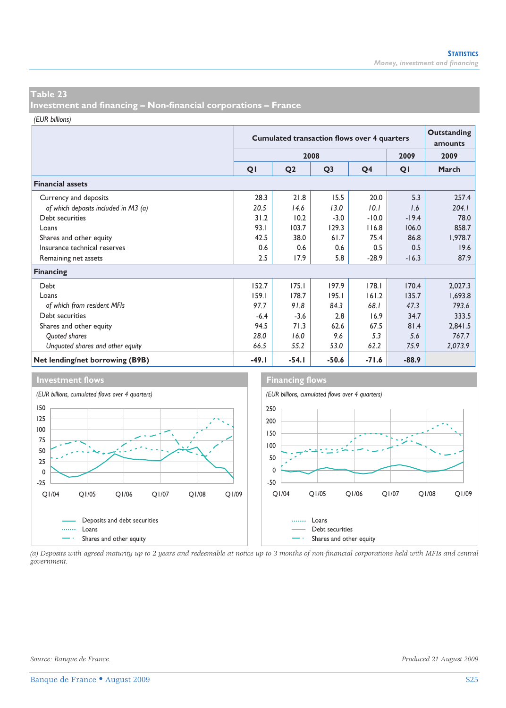**Investment and financing – Non-financial corporations – France** 

*(EUR billions)*

|                                      |         | <b>Cumulated transaction flows over 4 quarters</b> | <b>Outstanding</b><br>amounts |                |         |         |
|--------------------------------------|---------|----------------------------------------------------|-------------------------------|----------------|---------|---------|
|                                      |         |                                                    | 2008                          |                | 2009    | 2009    |
|                                      | QI      | Q <sub>2</sub>                                     | Q <sub>3</sub>                | Q <sub>4</sub> | QI      | March   |
| <b>Financial assets</b>              |         |                                                    |                               |                |         |         |
| Currency and deposits                | 28.3    | 21.8                                               | 15.5                          | 20.0           | 5.3     | 257.4   |
| of which deposits included in M3 (a) | 20.5    | 14.6                                               | 13.0                          | 10.1           | 1.6     | 204.1   |
| Debt securities                      | 31.2    | 10.2                                               | $-3.0$                        | $-10.0$        | $-19.4$ | 78.0    |
| Loans                                | 93.1    | 103.7                                              | 129.3                         | 116.8          | 106.0   | 858.7   |
| Shares and other equity              | 42.5    | 38.0                                               | 61.7                          | 75.4           | 86.8    | 1,978.7 |
| Insurance technical reserves         | 0.6     | 0.6                                                | 0.6                           | 0.5            | 0.5     | 19.6    |
| Remaining net assets                 | 2.5     | 17.9                                               | 5.8                           | $-28.9$        | $-16.3$ | 87.9    |
| <b>Financing</b>                     |         |                                                    |                               |                |         |         |
| Debt                                 | 152.7   | 175.1                                              | 197.9                         | 178.1          | 170.4   | 2,027.3 |
| Loans                                | 159.1   | 178.7                                              | 195.1                         | 161.2          | 135.7   | 1,693.8 |
| of which from resident MFIs          | 97.7    | 91.8                                               | 84.3                          | 68.I           | 47.3    | 793.6   |
| Debt securities                      | $-6.4$  | $-3.6$                                             | 2.8                           | 16.9           | 34.7    | 333.5   |
| Shares and other equity              | 94.5    | 71.3                                               | 62.6                          | 67.5           | 81.4    | 2,841.5 |
| Quoted shares                        | 28.0    | 16.0                                               | 9.6                           | 5.3            | 5.6     | 767.7   |
| Unquoted shares and other equity     | 66.5    | 55.2                                               | 53.0                          | 62.2           | 75.9    | 2,073.9 |
| Net lending/net borrowing (B9B)      | $-49.1$ | $-54.1$                                            | $-50.6$                       | $-71.6$        | $-88.9$ |         |



*(a) Deposits with agreed maturity up to 2 years and redeemable at notice up to 3 months of non-financial corporations held with MFIs and central government.*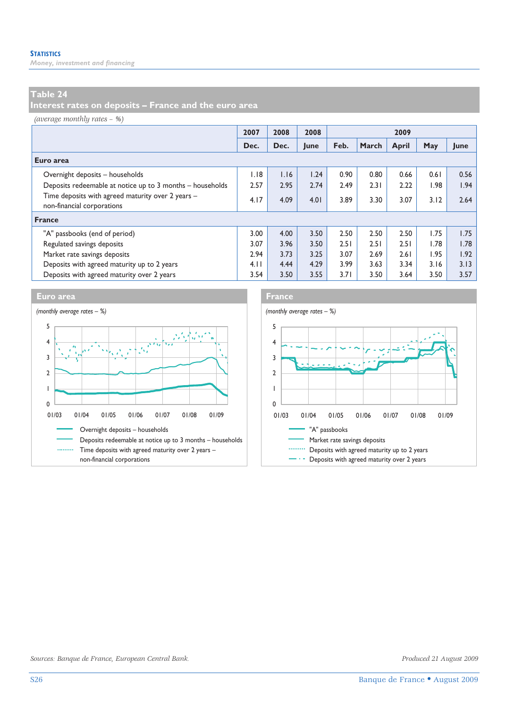*Money, investment and financing* 

# **Table 24**

**Interest rates on deposits – France and the euro area** 

*(average monthly rates – %)*

|                                                                                 | 2007 | 2008 | 2008 | 2009 |       |       |      |      |
|---------------------------------------------------------------------------------|------|------|------|------|-------|-------|------|------|
|                                                                                 | Dec. | Dec. | June | Feb. | March | April | May  | June |
| Euro area                                                                       |      |      |      |      |       |       |      |      |
| Overnight deposits - households                                                 | 1.18 | 1.16 | 1.24 | 0.90 | 0.80  | 0.66  | 0.61 | 0.56 |
| Deposits redeemable at notice up to 3 months - households                       | 2.57 | 2.95 | 2.74 | 2.49 | 2.31  | 2.22  | 1.98 | 1.94 |
| Time deposits with agreed maturity over 2 years -<br>non-financial corporations | 4.17 | 4.09 | 4.01 | 3.89 | 3.30  | 3.07  | 3.12 | 2.64 |
| France                                                                          |      |      |      |      |       |       |      |      |
| "A" passbooks (end of period)                                                   | 3.00 | 4.00 | 3.50 | 2.50 | 2.50  | 2.50  | 1.75 | 1.75 |
| Regulated savings deposits                                                      | 3.07 | 3.96 | 3.50 | 2.51 | 2.51  | 2.51  | 1.78 | 1.78 |
| Market rate savings deposits                                                    | 2.94 | 3.73 | 3.25 | 3.07 | 2.69  | 2.61  | 1.95 | 1.92 |
| Deposits with agreed maturity up to 2 years                                     | 4.11 | 4.44 | 4.29 | 3.99 | 3.63  | 3.34  | 3.16 | 3.13 |
| Deposits with agreed maturity over 2 years                                      | 3.54 | 3.50 | 3.55 | 3.71 | 3.50  | 3.64  | 3.50 | 3.57 |





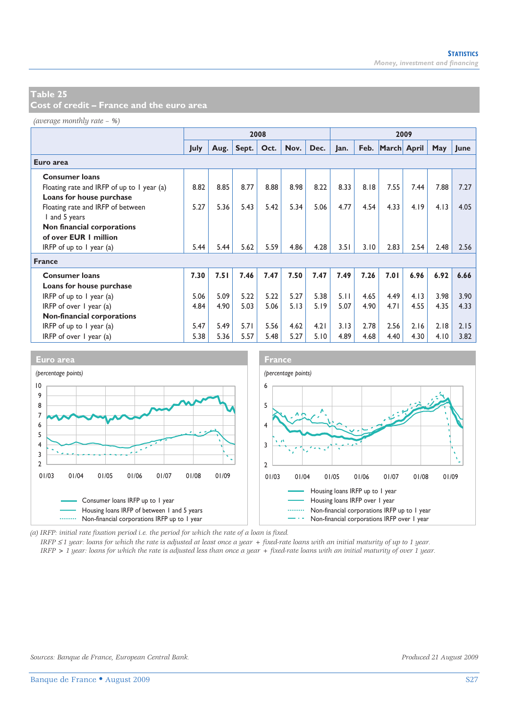**Cost of credit – France and the euro area** 

*(average monthly rate – %)*

|                                            | 2008        |      |       |      |      |      | 2009 |      |             |      |      |      |
|--------------------------------------------|-------------|------|-------|------|------|------|------|------|-------------|------|------|------|
|                                            | <b>July</b> | Aug. | Sept. | Oct. | Nov. | Dec. | Jan. | Feb. | March April |      | May  | June |
| Euro area                                  |             |      |       |      |      |      |      |      |             |      |      |      |
| <b>Consumer loans</b>                      |             |      |       |      |      |      |      |      |             |      |      |      |
| Floating rate and IRFP of up to 1 year (a) | 8.82        | 8.85 | 8.77  | 8.88 | 8.98 | 8.22 | 8.33 | 8.18 | 7.55        | 7.44 | 7.88 | 7.27 |
| Loans for house purchase                   |             |      |       |      |      |      |      |      |             |      |      |      |
| Floating rate and IRFP of between          | 5.27        | 5.36 | 5.43  | 5.42 | 5.34 | 5.06 | 4.77 | 4.54 | 4.33        | 4.19 | 4.13 | 4.05 |
| I and 5 years                              |             |      |       |      |      |      |      |      |             |      |      |      |
| Non financial corporations                 |             |      |       |      |      |      |      |      |             |      |      |      |
| of over EUR 1 million                      |             |      |       |      |      |      |      |      |             |      |      |      |
| IRFP of up to $\overline{I}$ year (a)      | 5.44        | 5.44 | 5.62  | 5.59 | 4.86 | 4.28 | 3.51 | 3.10 | 2.83        | 2.54 | 2.48 | 2.56 |
| <b>France</b>                              |             |      |       |      |      |      |      |      |             |      |      |      |
| <b>Consumer loans</b>                      | 7.30        | 7.51 | 7.46  | 7.47 | 7.50 | 7.47 | 7.49 | 7.26 | 7.01        | 6.96 | 6.92 | 6.66 |
| Loans for house purchase                   |             |      |       |      |      |      |      |      |             |      |      |      |
| IRFP of up to $\overline{I}$ year (a)      | 5.06        | 5.09 | 5.22  | 5.22 | 5.27 | 5.38 | 5.11 | 4.65 | 4.49        | 4.13 | 3.98 | 3.90 |
| IRFP of over $\vert$ year (a)              | 4.84        | 4.90 | 5.03  | 5.06 | 5.13 | 5.19 | 5.07 | 4.90 | 4.71        | 4.55 | 4.35 | 4.33 |
| Non-financial corporations                 |             |      |       |      |      |      |      |      |             |      |      |      |
| IRFP of up to $I$ year (a)                 | 5.47        | 5.49 | 5.71  | 5.56 | 4.62 | 4.21 | 3.13 | 2.78 | 2.56        | 2.16 | 2.18 | 2.15 |
| IRFP of over 1 year (a)                    | 5.38        | 5.36 | 5.57  | 5.48 | 5.27 | 5.10 | 4.89 | 4.68 | 4.40        | 4.30 | 4.10 | 3.82 |



*(a) IRFP: initial rate fixation period i.e. the period for which the rate of a loan is fixed.* 

*IRFP* ≤ *1 year: loans for which the rate is adjusted at least once a year + fixed-rate loans with an initial maturity of up to 1 year. IRFP > 1 year: loans for which the rate is adjusted less than once a year + fixed-rate loans with an initial maturity of over 1 year.*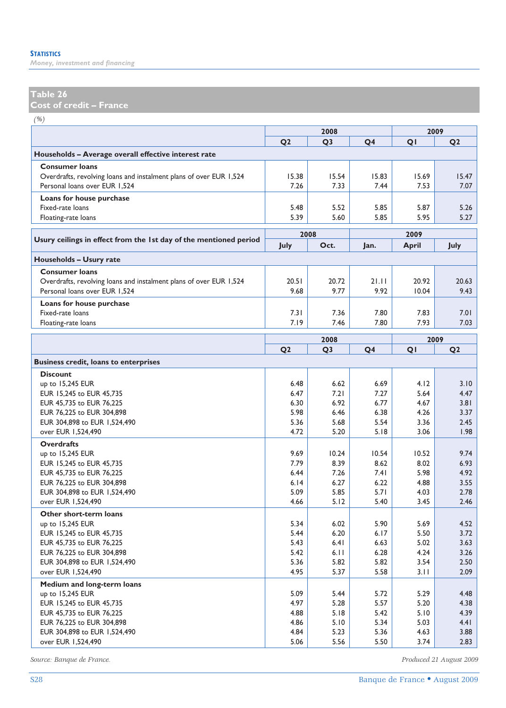*Money, investment and financing* 

# **Table 26**

**Cost of credit – France** 

*(%)*

|                                                                    | 2008           |                |                | 2009         |                |  |  |
|--------------------------------------------------------------------|----------------|----------------|----------------|--------------|----------------|--|--|
|                                                                    | Q <sub>2</sub> | Q <sub>3</sub> | Q <sub>4</sub> | QI           | Q <sub>2</sub> |  |  |
| Households - Average overall effective interest rate               |                |                |                |              |                |  |  |
| <b>Consumer loans</b>                                              |                |                |                |              |                |  |  |
| Overdrafts, revolving loans and instalment plans of over EUR 1,524 | 15.38          | 15.54          | 15.83          | 15.69        | 15.47          |  |  |
| Personal loans over EUR 1,524                                      | 7.26           | 7.33           | 7.44           | 7.53         | 7.07           |  |  |
| Loans for house purchase                                           |                |                |                |              |                |  |  |
| Fixed-rate loans                                                   | 5.48           | 5.52           | 5.85           | 5.87         | 5.26           |  |  |
| Floating-rate loans                                                | 5.39           | 5.60           | 5.85           | 5.95         | 5.27           |  |  |
|                                                                    |                | 2008           |                | 2009         |                |  |  |
| Usury ceilings in effect from the 1st day of the mentioned period  | July           | Oct.           | Jan.           | <b>April</b> | July           |  |  |
|                                                                    |                |                |                |              |                |  |  |
| Households - Usury rate                                            |                |                |                |              |                |  |  |
| <b>Consumer loans</b>                                              |                |                |                |              |                |  |  |
| Overdrafts, revolving loans and instalment plans of over EUR 1,524 | 20.51          | 20.72          | 21.11          | 20.92        | 20.63          |  |  |
| Personal loans over EUR 1,524                                      | 9.68           | 9.77           | 9.92           | 10.04        | 9.43           |  |  |
| Loans for house purchase                                           |                |                |                |              |                |  |  |
| Fixed-rate loans                                                   | 7.31           | 7.36           | 7.80           | 7.83         | 7.01           |  |  |
| Floating-rate loans                                                | 7.19           | 7.46           | 7.80           | 7.93         | 7.03           |  |  |
|                                                                    |                | 2008           |                |              | 2009           |  |  |
|                                                                    | Q <sub>2</sub> | Q <sub>3</sub> | Q <sub>4</sub> | QI           | Q <sub>2</sub> |  |  |
| <b>Business credit, loans to enterprises</b>                       |                |                |                |              |                |  |  |
| <b>Discount</b>                                                    |                |                |                |              |                |  |  |
| up to 15,245 EUR                                                   | 6.48           | 6.62           | 6.69           | 4.12         | 3.10           |  |  |
| EUR 15,245 to EUR 45,735                                           | 6.47           | 7.21           | 7.27           | 5.64         | 4.47           |  |  |
| EUR 45,735 to EUR 76,225                                           | 6.30           | 6.92           | 6.77           | 4.67         | 3.81           |  |  |
| EUR 76,225 to EUR 304,898                                          | 5.98           | 6.46           | 6.38           | 4.26         | 3.37           |  |  |
| EUR 304,898 to EUR 1,524,490                                       | 5.36           | 5.68           | 5.54           | 3.36         | 2.45           |  |  |
| over EUR 1,524,490                                                 | 4.72           | 5.20           | 5.18           | 3.06         | 1.98           |  |  |
| <b>Overdrafts</b>                                                  |                |                |                |              |                |  |  |
| up to 15,245 EUR                                                   | 9.69           | 10.24          | 10.54          | 10.52        | 9.74           |  |  |
| EUR 15,245 to EUR 45,735                                           | 7.79           | 8.39           | 8.62           | 8.02         | 6.93           |  |  |
| EUR 45,735 to EUR 76,225                                           | 6.44           | 7.26           | 7.41           | 5.98         | 4.92           |  |  |
| EUR 76,225 to EUR 304,898                                          | 6.14           | 6.27           | 6.22           | 4.88         | 3.55           |  |  |
| EUR 304,898 to EUR 1,524,490                                       | 5.09           | 5.85           | 5.71           | 4.03         | 2.78           |  |  |
| over EUR 1,524,490                                                 | 4.66           | 5.12           | 5.40           | 3.45         | 2.46           |  |  |
| Other short-term loans                                             |                |                |                |              |                |  |  |
| up to 15,245 EUR                                                   | 5.34           | 6.02           | 5.90           | 5.69         | 4.52           |  |  |
| EUR 15,245 to EUR 45,735                                           | 5.44           | 6.20           | 6.17           | 5.50         | 3.72           |  |  |
| EUR 45,735 to EUR 76,225                                           | 5.43           | 6.41           | 6.63           | 5.02         | 3.63           |  |  |
| EUR 76,225 to EUR 304,898                                          | 5.42           | 6.11           | 6.28           | 4.24         | 3.26           |  |  |
| EUR 304,898 to EUR 1,524,490                                       | 5.36           | 5.82           | 5.82           | 3.54         | 2.50           |  |  |
| over EUR 1,524,490                                                 | 4.95           | 5.37           | 5.58           | 3.11         | 2.09           |  |  |
| Medium and long-term loans                                         |                |                |                |              |                |  |  |
| up to 15,245 EUR                                                   | 5.09           | 5.44           | 5.72           | 5.29         | 4.48           |  |  |
| EUR 15,245 to EUR 45,735                                           | 4.97           | 5.28           | 5.57           | 5.20         | 4.38           |  |  |
| EUR 45,735 to EUR 76,225                                           | 4.88           | 5.18           | 5.42           | 5.10         | 4.39           |  |  |
| EUR 76,225 to EUR 304,898                                          | 4.86           | 5.10           | 5.34           | 5.03         | 4.41           |  |  |
| EUR 304,898 to EUR 1,524,490                                       | 4.84           | 5.23           | 5.36           | 4.63         | 3.88           |  |  |
| over EUR 1,524,490                                                 | 5.06           | 5.56           | 5.50           | 3.74         | 2.83           |  |  |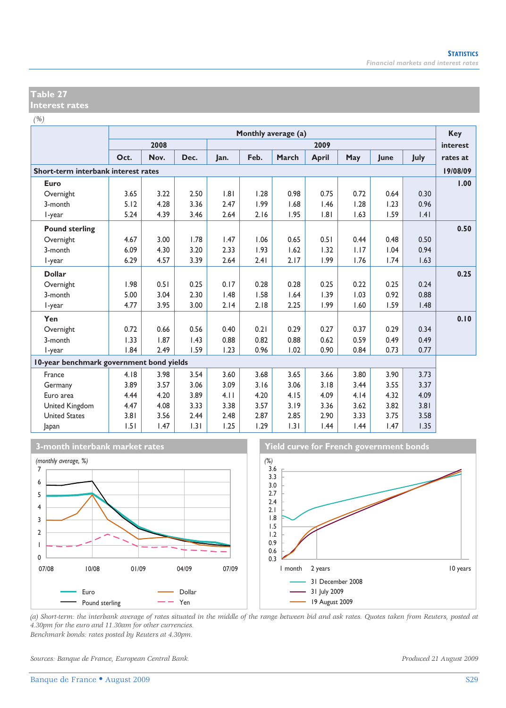### **Table 27 Interest rates**

*(%)*

|                                          | Monthly average (a) |      |      |      |      |       |              |      |      | <b>Key</b>  |          |
|------------------------------------------|---------------------|------|------|------|------|-------|--------------|------|------|-------------|----------|
|                                          |                     | 2008 |      |      |      |       | 2009         |      |      |             | interest |
|                                          | Oct.                | Nov. | Dec. | lan. | Feb. | March | <b>April</b> | May  | lune | <b>July</b> | rates at |
| Short-term interbank interest rates      |                     |      |      |      |      |       |              |      |      |             | 19/08/09 |
| Euro                                     |                     |      |      |      |      |       |              |      |      |             | 1.00     |
| Overnight                                | 3.65                | 3.22 | 2.50 | .8   | 1.28 | 0.98  | 0.75         | 0.72 | 0.64 | 0.30        |          |
| 3-month                                  | 5.12                | 4.28 | 3.36 | 2.47 | 1.99 | 1.68  | 1.46         | 1.28 | 1.23 | 0.96        |          |
| l-year                                   | 5.24                | 4.39 | 3.46 | 2.64 | 2.16 | 1.95  | 1.81         | 1.63 | 1.59 | .4          |          |
| <b>Pound sterling</b>                    |                     |      |      |      |      |       |              |      |      |             | 0.50     |
| Overnight                                | 4.67                | 3.00 | 1.78 | 1.47 | 1.06 | 0.65  | 0.51         | 0.44 | 0.48 | 0.50        |          |
| 3-month                                  | 6.09                | 4.30 | 3.20 | 2.33 | 1.93 | 1.62  | 1.32         | 1.17 | 1.04 | 0.94        |          |
| I-year                                   | 6.29                | 4.57 | 3.39 | 2.64 | 2.41 | 2.17  | 1.99         | 1.76 | 1.74 | 1.63        |          |
| <b>Dollar</b>                            |                     |      |      |      |      |       |              |      |      |             | 0.25     |
| Overnight                                | 1.98                | 0.51 | 0.25 | 0.17 | 0.28 | 0.28  | 0.25         | 0.22 | 0.25 | 0.24        |          |
| 3-month                                  | 5.00                | 3.04 | 2.30 | 1.48 | 1.58 | 1.64  | 1.39         | 1.03 | 0.92 | 0.88        |          |
| I-year                                   | 4.77                | 3.95 | 3.00 | 2.14 | 2.18 | 2.25  | 1.99         | 1.60 | 1.59 | 1.48        |          |
| Yen                                      |                     |      |      |      |      |       |              |      |      |             | 0.10     |
| Overnight                                | 0.72                | 0.66 | 0.56 | 0.40 | 0.21 | 0.29  | 0.27         | 0.37 | 0.29 | 0.34        |          |
| 3-month                                  | 1.33                | 1.87 | 1.43 | 0.88 | 0.82 | 0.88  | 0.62         | 0.59 | 0.49 | 0.49        |          |
| l-year                                   | 1.84                | 2.49 | 1.59 | 1.23 | 0.96 | 1.02  | 0.90         | 0.84 | 0.73 | 0.77        |          |
| 10-year benchmark government bond yields |                     |      |      |      |      |       |              |      |      |             |          |
| France                                   | 4.18                | 3.98 | 3.54 | 3.60 | 3.68 | 3.65  | 3.66         | 3.80 | 3.90 | 3.73        |          |
| Germany                                  | 3.89                | 3.57 | 3.06 | 3.09 | 3.16 | 3.06  | 3.18         | 3.44 | 3.55 | 3.37        |          |
| Euro area                                | 4.44                | 4.20 | 3.89 | 4.11 | 4.20 | 4.15  | 4.09         | 4.14 | 4.32 | 4.09        |          |
| United Kingdom                           | 4.47                | 4.08 | 3.33 | 3.38 | 3.57 | 3.19  | 3.36         | 3.62 | 3.82 | 3.81        |          |
| <b>United States</b>                     | 3.81                | 3.56 | 2.44 | 2.48 | 2.87 | 2.85  | 2.90         | 3.33 | 3.75 | 3.58        |          |
| Japan                                    | 1.51                | 1.47 | 1.31 | 1.25 | 1.29 | 1.31  | 1.44         | 1.44 | 1.47 | 1.35        |          |







*(a) Short-term: the interbank average of rates situated in the middle of the range between bid and ask rates. Quotes taken from Reuters, posted at 4.30pm for the euro and 11.30am for other currencies. Benchmark bonds: rates posted by Reuters at 4.30pm.* 

*Sources: Banque de France, European Central Bank. Produced 21 August 2009*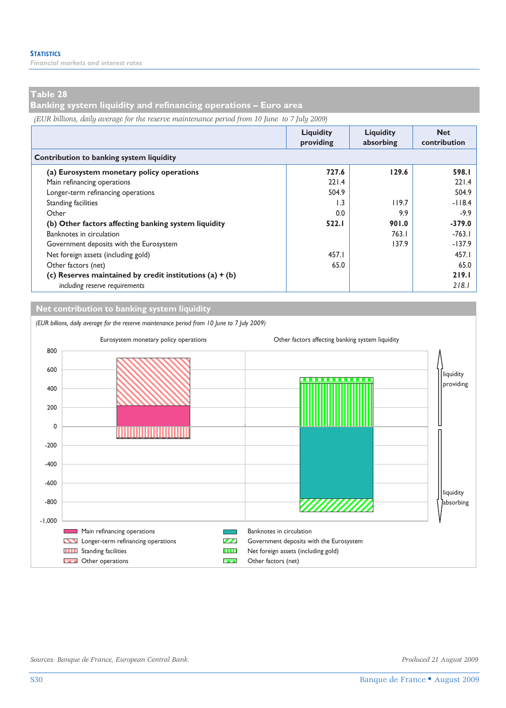*Financial markets and interest rates* 

### **Table 28**

**Banking system liquidity and refinancing operations – Euro area** 

*(EUR billions, daily average for the reserve maintenance period from 10 June to 7 July 2009)*

|                                                            | <b>Liquidity</b><br>providing | <b>Liquidity</b><br>absorbing | <b>Net</b><br>contribution |
|------------------------------------------------------------|-------------------------------|-------------------------------|----------------------------|
| Contribution to banking system liquidity                   |                               |                               |                            |
| (a) Eurosystem monetary policy operations                  | 727.6                         | 129.6                         | 598.I                      |
| Main refinancing operations                                | 221.4                         |                               | 221.4                      |
| Longer-term refinancing operations                         | 504.9                         |                               | 504.9                      |
| Standing facilities                                        | 1.3                           | 119.7                         | $-118.4$                   |
| Other                                                      | 0.0                           | 9.9                           | $-9.9$                     |
| (b) Other factors affecting banking system liquidity       | 522.1                         | 901.0                         | $-379.0$                   |
| Banknotes in circulation                                   |                               | 763.1                         | $-763.1$                   |
| Government deposits with the Eurosystem                    |                               | 137.9                         | $-137.9$                   |
| Net foreign assets (including gold)                        | 457.I                         |                               | 457.I                      |
| Other factors (net)                                        | 65.0                          |                               | 65.0                       |
| (c) Reserves maintained by credit institutions $(a) + (b)$ |                               |                               | 219.1                      |
| including reserve requirements                             |                               |                               | 218.1                      |

**Net contribution to banking system liquidity**

*(EUR billions, daily average for the reserve maintenance period from 10 June to 7 July 2009)*



I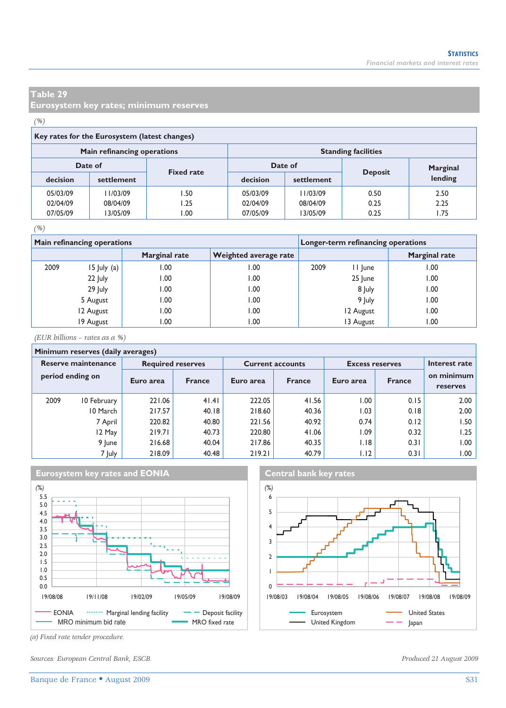**Eurosystem key rates; minimum reserves** 

### *(%)*

### **Key rates for the Eurosystem (latest changes)**

|                              | Main refinancing operations |      | <b>Standing facilities</b> |            |                |          |  |  |
|------------------------------|-----------------------------|------|----------------------------|------------|----------------|----------|--|--|
| Date of<br><b>Fixed rate</b> |                             |      | Date of                    |            |                | Marginal |  |  |
| decision                     | settlement                  |      | decision                   | settlement | <b>Deposit</b> | lending  |  |  |
| 05/03/09                     | 11/03/09                    | l.50 | 05/03/09                   | 11/03/09   | 0.50           | 2.50     |  |  |
| 02/04/09                     | 08/04/09                    | I.25 | 02/04/09                   | 08/04/09   | 0.25           | 2.25     |  |  |
| 07/05/09                     | 13/05/09                    | 00.  | 07/05/09                   | 13/05/09   | 0.25           | l.75     |  |  |

### *(%)*

|      | <b>Main refinancing operations</b> |                      | Longer-term refinancing operations |      |           |                      |  |
|------|------------------------------------|----------------------|------------------------------------|------|-----------|----------------------|--|
|      |                                    | <b>Marginal rate</b> | <b>Weighted average rate</b>       |      |           | <b>Marginal rate</b> |  |
| 2009 | $15$ July (a)                      | 00.1                 | 00.1                               | 2009 | II June   | 1.00                 |  |
|      | 22 July                            | 00.1                 | 00.1                               |      | 25 June   | 00.1                 |  |
|      | 29 July                            | 0.00                 | 00.1                               |      | 8 July    | 1.00                 |  |
|      | 5 August                           | 00.1                 | 00.1                               |      | 9 July    | 1.00                 |  |
|      | 12 August                          | .00                  | 00.1                               |      | 12 August | 0.00                 |  |
|      | 19 August                          | .00                  | 00. ا                              |      | 13 August | 00. ا                |  |

*(EUR billions – rates as a %)*

### **Minimum reserves (daily averages) Reserve maintenance Required reserves Current accounts Excess reserves period ending on** 2009 10 February 221.06 41.41 222.05 41.56 1.00 0.15 2.00 10 March 217.57 40.18 218.60 40.36 1.03 0.18 2.00 7 April 220.82 40.80 221.56 40.92 0.74 0.12 1.50 12 May | 219.71 | 40.73 | 220.80 | 41.06 | 1.09 | 0.32 | 1.25 9 June | 216.68 | 40.04 | 217.86 | 40.35 | 1.18 | 0.31 | 1.00 7 July | 218.09 | 40.48 | 219.21 | 40.79 | 1.12 | 0.31 | 1.00 Euro area France **Interest rate on minimum Euro area France Euro area France Euro area France France Programment Reserves**





*(a) Fixed rate tender procedure.* 

*Sources: European Central Bank, ESCB. Produced 21 August 2009*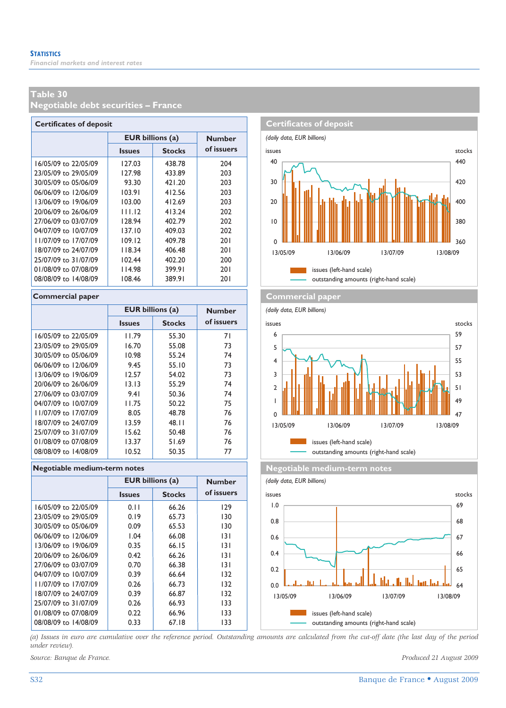**Negotiable debt securities – France** 

| <b>Certificates of deposit</b> |                         |               |               |  |  |  |  |  |  |
|--------------------------------|-------------------------|---------------|---------------|--|--|--|--|--|--|
|                                | <b>EUR billions (a)</b> |               | <b>Number</b> |  |  |  |  |  |  |
|                                | <b>Issues</b>           | <b>Stocks</b> | of issuers    |  |  |  |  |  |  |
| 16/05/09 to 22/05/09           | 127.03                  | 438.78        | 204           |  |  |  |  |  |  |
| 23/05/09 to 29/05/09           | 127.98                  | 433.89        | 203           |  |  |  |  |  |  |
| 30/05/09 to 05/06/09           | 93.30                   | 421.20        | 203           |  |  |  |  |  |  |
| 06/06/09 to 12/06/09           | 103.91                  | 412.56        | 203           |  |  |  |  |  |  |
| 13/06/09 to 19/06/09           | 103.00                  | 412.69        | 203           |  |  |  |  |  |  |
| 20/06/09 to 26/06/09           | 111.12                  | 413.24        | 202           |  |  |  |  |  |  |
| 27/06/09 to 03/07/09           | 128.94                  | 402.79        | 202           |  |  |  |  |  |  |
| 04/07/09 to 10/07/09           | 137.10                  | 409.03        | 202           |  |  |  |  |  |  |
| 11/07/09 to 17/07/09           | 109.12                  | 409.78        | 201           |  |  |  |  |  |  |
| 18/07/09 to 24/07/09           | 118.34                  | 406.48        | 201           |  |  |  |  |  |  |
| 25/07/09 to 31/07/09           | 102.44                  | 402.20        | 200           |  |  |  |  |  |  |
| 01/08/09 to 07/08/09           | 114.98                  | 399.91        | 201           |  |  |  |  |  |  |
| 08/08/09 to 14/08/09           | 108.46                  | 389.91        | 201           |  |  |  |  |  |  |

### **Commercial paper Commercial paper**

|                      | <b>EUR billions (a)</b> |               | <b>Number</b> |
|----------------------|-------------------------|---------------|---------------|
|                      | <b>Issues</b>           | <b>Stocks</b> | of issuers    |
| 16/05/09 to 22/05/09 | 11.79                   | 55.30         | 71            |
| 23/05/09 to 29/05/09 | 16.70                   | 55.08         | 73            |
| 30/05/09 to 05/06/09 | 10.98                   | 55.24         | 74            |
| 06/06/09 to 12/06/09 | 9.45                    | 55.10         | 73            |
| 13/06/09 to 19/06/09 | 12.57                   | 54.02         | 73            |
| 20/06/09 to 26/06/09 | 13.13                   | 55.29         | 74            |
| 27/06/09 to 03/07/09 | 9.41                    | 50.36         | 74            |
| 04/07/09 to 10/07/09 | 11.75                   | 50.22         | 75            |
| 11/07/09 to 17/07/09 | 8.05                    | 48.78         | 76            |
| 18/07/09 to 24/07/09 | 13.59                   | 48.11         | 76            |
| 25/07/09 to 31/07/09 | 15.62                   | 50.48         | 76            |
| 01/08/09 to 07/08/09 | 13.37                   | 51.69         | 76            |
| 08/08/09 to 14/08/09 | 10.52                   | 50.35         | 77            |

### **Negotiable medium-term notes Negotiable medium-term notes**

|                      | <b>EUR billions (a)</b> |               | <b>Number</b> |
|----------------------|-------------------------|---------------|---------------|
|                      | <b>Issues</b>           | <b>Stocks</b> | of issuers    |
| 16/05/09 to 22/05/09 | 0.11                    | 66.26         | 129           |
| 23/05/09 to 29/05/09 | 0.19                    | 65.73         | 130           |
| 30/05/09 to 05/06/09 | 0.09                    | 65.53         | 130           |
| 06/06/09 to 12/06/09 | 1.04                    | 66.08         | 131           |
| 13/06/09 to 19/06/09 | 0.35                    | 66.15         | 131           |
| 20/06/09 to 26/06/09 | 0.42                    | 66.26         | 131           |
| 27/06/09 to 03/07/09 | 0.70                    | 66.38         | 131           |
| 04/07/09 to 10/07/09 | 0.39                    | 66.64         | 132           |
| 11/07/09 to 17/07/09 | 0.26                    | 66.73         | 132           |
| 18/07/09 to 24/07/09 | 0.39                    | 66.87         | 132           |
| 25/07/09 to 31/07/09 | 0.26                    | 66.93         | 133           |
| 01/08/09 to 07/08/09 | 0.22                    | 66.96         | 133           |
| 08/08/09 to 14/08/09 | 0.33                    | 67.18         | 133           |









*(a) Issues in euro are cumulative over the reference period. Outstanding amounts are calculated from the cut-off date (the last day of the period under review).*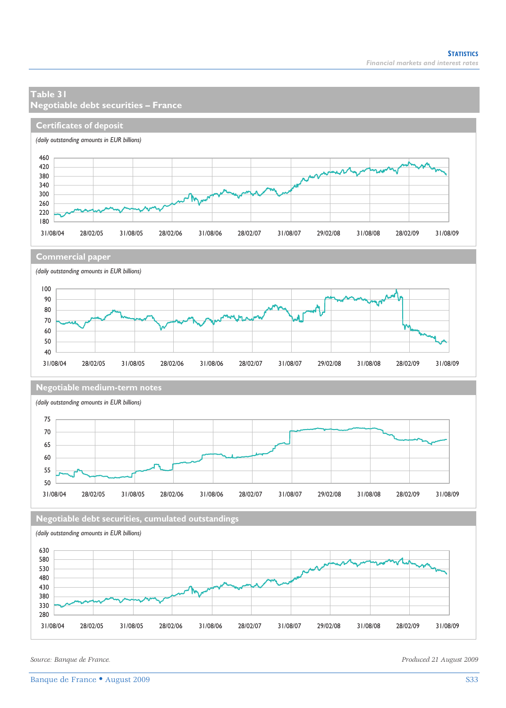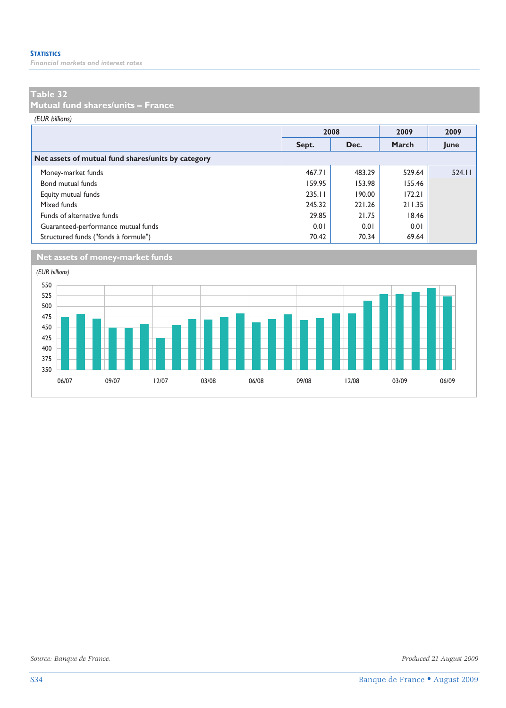*Financial markets and interest rates* 

### **Table 32**

**Mutual fund shares/units – France** 

*(EUR billions)*

|                                                    |        | 2008   | 2009   | 2009   |
|----------------------------------------------------|--------|--------|--------|--------|
|                                                    | Sept.  | Dec.   | March  | June   |
| Net assets of mutual fund shares/units by category |        |        |        |        |
| Money-market funds                                 | 467.71 | 483.29 | 529.64 | 524.11 |
| Bond mutual funds                                  | 159.95 | 153.98 | 155.46 |        |
| Equity mutual funds                                | 235.11 | 190.00 | 172.21 |        |
| Mixed funds                                        | 245.32 | 221.26 | 211.35 |        |
| Funds of alternative funds                         | 29.85  | 21.75  | 18.46  |        |
| Guaranteed-performance mutual funds                | 0.01   | 0.01   | 0.01   |        |
| Structured funds ("fonds à formule")               | 70.42  | 70.34  | 69.64  |        |



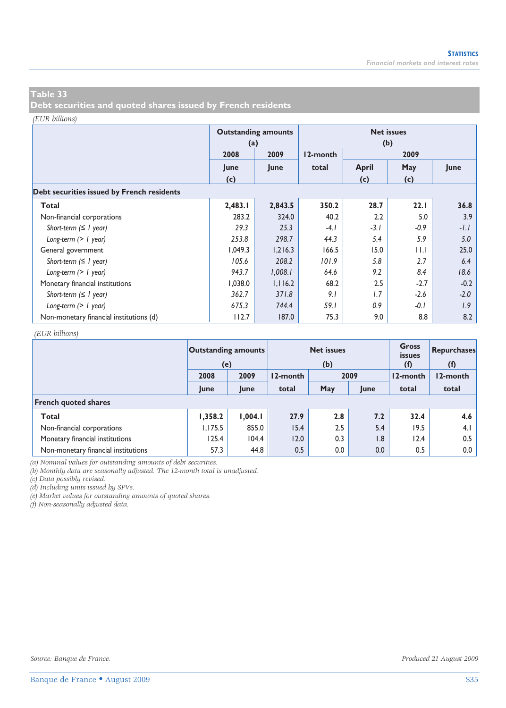**Debt securities and quoted shares issued by French residents** 

### *(EUR billions)*

|                                            | (a)     | <b>Outstanding amounts</b> | <b>Net issues</b><br>(b) |              |             |        |  |  |  |  |  |  |
|--------------------------------------------|---------|----------------------------|--------------------------|--------------|-------------|--------|--|--|--|--|--|--|
|                                            | 2008    | 2009                       | 12-month                 |              | 2009        |        |  |  |  |  |  |  |
|                                            | June    | June                       | total                    | <b>April</b> | May         | June   |  |  |  |  |  |  |
|                                            | (c)     |                            |                          | (c)          | (c)         |        |  |  |  |  |  |  |
| Debt securities issued by French residents |         |                            |                          |              |             |        |  |  |  |  |  |  |
| Total                                      | 2,483.I | 2,843.5                    | 350.2                    | 28.7         | 22.1        | 36.8   |  |  |  |  |  |  |
| Non-financial corporations                 | 283.2   | 324.0                      | 40.2                     | 2.2          | 5.0         | 3.9    |  |  |  |  |  |  |
| Short-term $( \leq l$ year)                | 29.3    | 25.3                       | $-4.1$                   | $-3.1$       | $-0.9$      | $-1.1$ |  |  |  |  |  |  |
| Long-term $(> 1$ year)                     | 253.8   | 298.7                      | 44.3                     | 5.4          | 5.9         | 5.0    |  |  |  |  |  |  |
| General government                         | 1,049.3 | 1,216.3                    | 166.5                    | 15.0         | $  \cdot  $ | 25.0   |  |  |  |  |  |  |
| Short-term $( \leq l$ year)                | 105.6   | 208.2                      | 101.9                    | 5.8          | 2.7         | 6.4    |  |  |  |  |  |  |
| Long-term $(> 1$ year)                     | 943.7   | 1,008.1                    | 64.6                     | 9.2          | 8.4         | 18.6   |  |  |  |  |  |  |
| Monetary financial institutions            | 1,038.0 | 1,116.2                    | 68.2                     | 2.5          | $-2.7$      | $-0.2$ |  |  |  |  |  |  |
| Short-term $( \leq l$ year)                | 362.7   | 371.8                      | 9.1                      | 1.7          | $-2.6$      | $-2.0$ |  |  |  |  |  |  |
| Long-term $(> I$ year)                     | 675.3   | 744.4                      | 59.I                     | 0.9          | $-0.1$      | 1.9    |  |  |  |  |  |  |
| Non-monetary financial institutions (d)    | 112.7   | 187.0                      | 75.3                     | 9.0          | 8.8         | 8.2    |  |  |  |  |  |  |

### *(EUR billions)*

|                                     | <b>Outstanding amounts</b><br>(e) |         |          | <b>Net issues</b><br>(b) | <b>Gross</b><br><i>issues</i><br>(f) | Repurchases<br>(f) |          |  |
|-------------------------------------|-----------------------------------|---------|----------|--------------------------|--------------------------------------|--------------------|----------|--|
|                                     | 2009<br>2008                      |         | 12-month | 2009                     |                                      | 12-month           | 12-month |  |
|                                     | June                              | June    | total    | May                      | June                                 | total              | total    |  |
| <b>French quoted shares</b>         |                                   |         |          |                          |                                      |                    |          |  |
| Total                               | 1,358.2                           | 1.004.1 | 27.9     | 2.8                      | 7.2                                  | 32.4               | 4.6      |  |
| Non-financial corporations          | 1.175.5                           | 855.0   | 15.4     | 2.5                      | 5.4                                  | 19.5               | 4.1      |  |
| Monetary financial institutions     | 125.4                             | 104.4   | 12.0     | 0.3                      | 1.8                                  | 12.4               | 0.5      |  |
| Non-monetary financial institutions | 57.3                              | 44.8    | 0.5      | 0.0                      | 0.0                                  | 0.5                | 0.0      |  |

*(a) Nominal values for outstanding amounts of debt securities.* 

*(b) Monthly data are seasonally adjusted. The 12-month total is unadjusted.* 

*(c) Data possibly revised.* 

*(d) Including units issued by SPVs.* 

*(e) Market values for outstanding amounts of quoted shares.* 

*(f) Non-seasonally adjusted data.*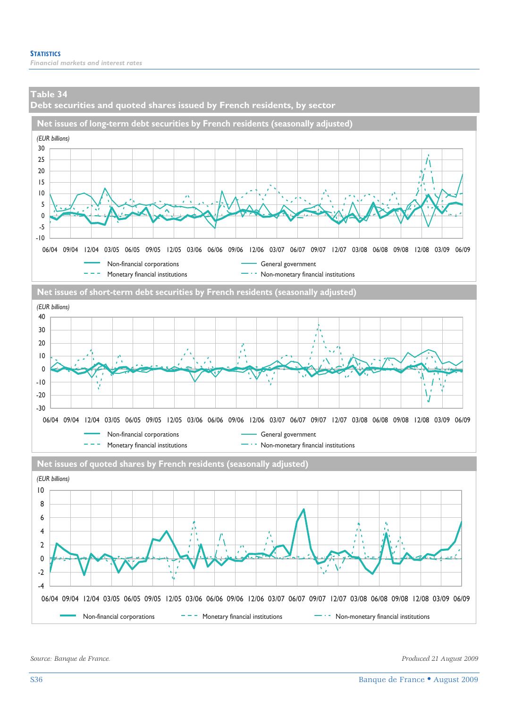**Debt securities and quoted shares issued by French residents, by sector** 





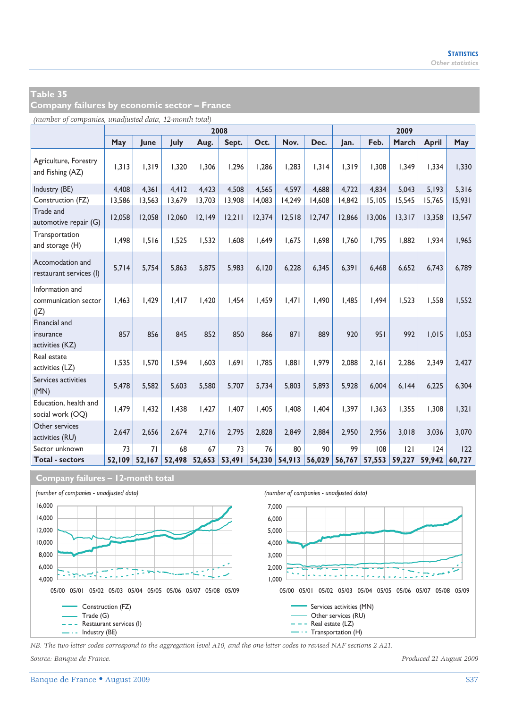**Company failures by economic sector – France** 

*(number of companies, unadjusted data, 12-month total)*

|                                                 |        | 2008   |        |        |        |        |        |        |        | 2009   |        |              |        |  |
|-------------------------------------------------|--------|--------|--------|--------|--------|--------|--------|--------|--------|--------|--------|--------------|--------|--|
|                                                 | May    | June   | July   | Aug.   | Sept.  | Oct.   | Nov.   | Dec.   | Jan.   | Feb.   | March  | <b>April</b> | May    |  |
| Agriculture, Forestry<br>and Fishing (AZ)       | 1,313  | 1,319  | 1,320  | 1,306  | 1,296  | 1,286  | 1,283  | 1,314  | 1,319  | 1,308  | 1,349  | 1,334        | 1,330  |  |
| Industry (BE)                                   | 4,408  | 4.361  | 4,412  | 4,423  | 4,508  | 4,565  | 4,597  | 4,688  | 4,722  | 4,834  | 5,043  | 5,193        | 5,316  |  |
| Construction (FZ)                               | 13,586 | 13,563 | 13.679 | 13,703 | 13,908 | 14,083 | 14,249 | 14.608 | 14,842 | 15,105 | 15,545 | 15,765       | 15,931 |  |
| Trade and<br>automotive repair (G)              | 12,058 | 12,058 | 12,060 | 12,149 | 12,211 | 12,374 | 12,518 | 12,747 | 12,866 | 13,006 | 13,317 | 13,358       | 13,547 |  |
| Transportation<br>and storage (H)               | 1,498  | 1.516  | 1,525  | 1.532  | 1.608  | 1.649  | 1.675  | 1,698  | 1.760  | 1,795  | 1.882  | 1.934        | 1,965  |  |
| Accomodation and<br>restaurant services (I)     | 5,714  | 5,754  | 5,863  | 5.875  | 5.983  | 6.120  | 6,228  | 6,345  | 6.391  | 6.468  | 6.652  | 6.743        | 6,789  |  |
| Information and<br>communication sector<br>( Z) | 1,463  | 1,429  | 1,417  | I,420  | 1,454  | 1,459  | 1,471  | 1,490  | 1,485  | 1,494  | 1.523  | 1,558        | 1,552  |  |
| Financial and<br>insurance<br>activities (KZ)   | 857    | 856    | 845    | 852    | 850    | 866    | 871    | 889    | 920    | 951    | 992    | 1.015        | 1,053  |  |
| Real estate<br>activities (LZ)                  | 1,535  | 1.570  | 1,594  | 1.603  | 1,691  | 1.785  | 1.881  | 1,979  | 2,088  | 2,161  | 2,286  | 2,349        | 2,427  |  |
| Services activities<br>(MN)                     | 5,478  | 5,582  | 5,603  | 5,580  | 5,707  | 5,734  | 5.803  | 5,893  | 5,928  | 6.004  | 6,144  | 6,225        | 6,304  |  |
| Education, health and<br>social work (OQ)       | 1,479  | 1.432  | 1.438  | 1.427  | 1.407  | 1.405  | 1.408  | 1,404  | 1.397  | 1.363  | 1.355  | 1.308        | 1,321  |  |
| Other services<br>activities (RU)               | 2,647  | 2.656  | 2.674  | 2.716  | 2.795  | 2.828  | 2.849  | 2.884  | 2.950  | 2.956  | 3,018  | 3.036        | 3,070  |  |
| Sector unknown                                  | 73     | 71     | 68     | 67     | 73     | 76     | 80     | 90     | 99     | 108    | 2      | 124          | 122    |  |
| <b>Total - sectors</b>                          | 52.109 | 52,167 | 52.498 | 52,653 | 53,491 | 54,230 | 54,913 | 56,029 | 56,767 | 57,553 | 59,227 | 59.942       | 60.727 |  |





*NB: The two-letter codes correspond to the aggregation level A10, and the one-letter codes to revised NAF sections 2 A21.*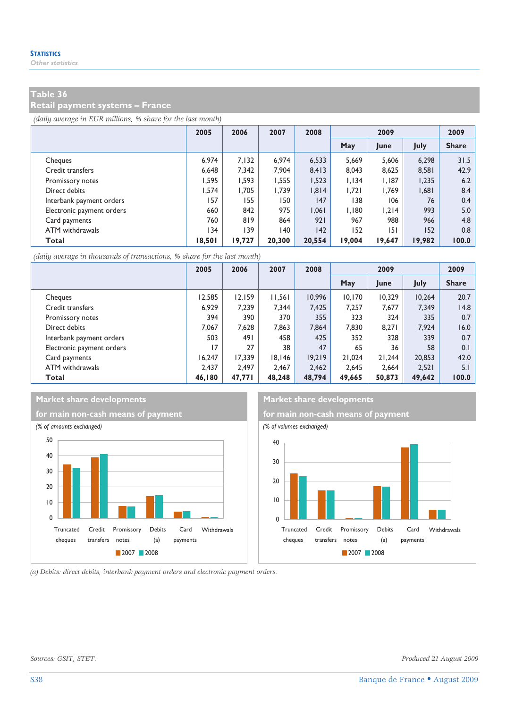### **Retail payment systems – France**

*(daily average in EUR millions, % share for the last month)*

|                           | 2005   | 2006   | 2007   | 2008   | 2009   |        |        | 2009         |
|---------------------------|--------|--------|--------|--------|--------|--------|--------|--------------|
|                           |        |        |        |        | May    | June   | July   | <b>Share</b> |
| Cheques                   | 6.974  | 7.132  | 6.974  | 6.533  | 5.669  | 5.606  | 6.298  | 31.5         |
| Credit transfers          | 6.648  | 7.342  | 7.904  | 8.413  | 8.043  | 8.625  | 8.581  | 42.9         |
| Promissory notes          | 1.595  | 1.593  | 1.555  | 1,523  | 1.134  | 1.187  | 1,235  | 6.2          |
| Direct debits             | 1.574  | 1.705  | 1.739  | 1,814  | 1.721  | 1.769  | 1,681  | 8.4          |
| Interbank payment orders  | 157    | 155    | 150    | 147    | 138    | 106    | 76     | 0.4          |
| Electronic payment orders | 660    | 842    | 975    | 1.061  | 1.180  | 1.214  | 993    | 5.0          |
| Card payments             | 760    | 819    | 864    | 921    | 967    | 988    | 966    | 4.8          |
| ATM withdrawals           | 134    | 139    | 140    | 142    | 152    | 151    | 152    | 0.8          |
| Total                     | 18,501 | 19,727 | 20,300 | 20,554 | 19,004 | 19,647 | 19,982 | 100.0        |

*(daily average in thousands of transactions, % share for the last month)*

|                           | 2005   | 2006   | 2007   | 2008   | 2009   |        |        | 2009         |
|---------------------------|--------|--------|--------|--------|--------|--------|--------|--------------|
|                           |        |        |        |        | May    | June   | July   | <b>Share</b> |
| Cheques                   | 12,585 | 12.159 | 11,561 | 10.996 | 10.170 | 10.329 | 10.264 | 20.7         |
| Credit transfers          | 6.929  | 7.239  | 7.344  | 7,425  | 7,257  | 7,677  | 7,349  | 14.8         |
| Promissory notes          | 394    | 390    | 370    | 355    | 323    | 324    | 335    | 0.7          |
| Direct debits             | 7.067  | 7.628  | 7.863  | 7.864  | 7.830  | 8.271  | 7.924  | 16.0         |
| Interbank payment orders  | 503    | 491    | 458    | 425    | 352    | 328    | 339    | 0.7          |
| Electronic payment orders | 17     | 27     | 38     | 47     | 65     | 36     | 58     | 0.1          |
| Card payments             | 16.247 | 17.339 | 18.146 | 19.219 | 21.024 | 21.244 | 20,853 | 42.0         |
| ATM withdrawals           | 2.437  | 2.497  | 2.467  | 2.462  | 2.645  | 2.664  | 2.521  | 5.1          |
| Total                     | 46.180 | 47.771 | 48,248 | 48,794 | 49,665 | 50,873 | 49,642 | 100.0        |



**Market share developments Market share developments**



*(a) Debits: direct debits, interbank payment orders and electronic payment orders.*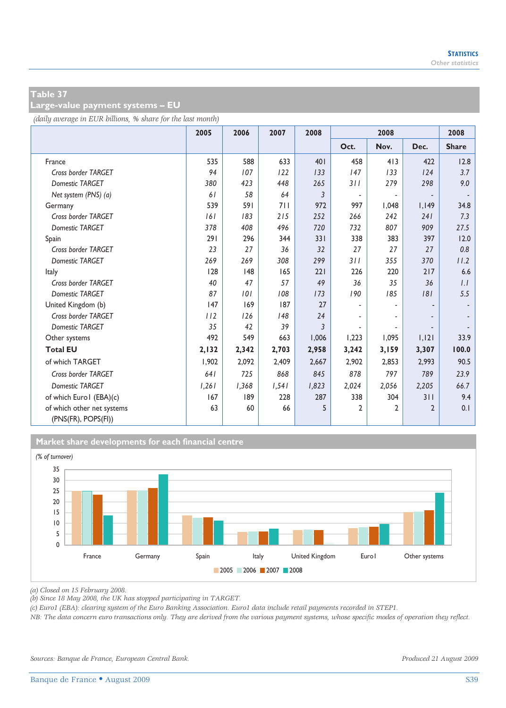**Large-value payment systems – EU** 

*(daily average in EUR billions, % share for the last month)*

|                                                   | 2005  | 2006  | 2007  | 2008  |                          | 2008                     |              | 2008         |
|---------------------------------------------------|-------|-------|-------|-------|--------------------------|--------------------------|--------------|--------------|
|                                                   |       |       |       |       | Oct.                     | Nov.                     | Dec.         | <b>Share</b> |
| France                                            | 535   | 588   | 633   | 401   | 458                      | 413                      | 422          | 12.8         |
| Cross border TARGET                               | 94    | 107   | 122   | 133   | 147                      | 133                      | 124          | 3.7          |
| Domestic TARGET                                   | 380   | 423   | 448   | 265   | 311                      | 279                      | 298          | 9.0          |
| Net system (PNS) (a)                              | 61    | 58    | 64    | 3     | $\overline{\phantom{a}}$ | $\overline{\phantom{a}}$ |              |              |
| Germany                                           | 539   | 591   | 711   | 972   | 997                      | 1.048                    | 1,149        | 34.8         |
| Cross border TARGET                               | 161   | 183   | 215   | 252   | 266                      | 242                      | 241          | 7.3          |
| <b>Domestic TARGET</b>                            | 378   | 408   | 496   | 720   | 732                      | 807                      | 909          | 27.5         |
| Spain                                             | 291   | 296   | 344   | 331   | 338                      | 383                      | 397          | 12.0         |
| Cross border TARGET                               | 23    | 27    | 36    | 32    | 27                       | 27                       | 27           | 0.8          |
| <b>Domestic TARGET</b>                            | 269   | 269   | 308   | 299   | 311                      | 355                      | 370          | 11.2         |
| Italy                                             | 128   | 48    | 165   | 221   | 226                      | 220                      | 217          | 6.6          |
| Cross border TARGET                               | 40    | 47    | 57    | 49    | 36                       | 35                       | 36           | 1.1          |
| Domestic TARGET                                   | 87    | 101   | 108   | 173   | 190                      | 185                      | 181          | 5.5          |
| United Kingdom (b)                                | 147   | 169   | 187   | 27    |                          |                          |              |              |
| Cross border TARGET                               | 112   | 126   | 148   | 24    |                          |                          |              |              |
| <b>Domestic TARGET</b>                            | 35    | 42    | 39    | 3     | $\overline{\phantom{a}}$ |                          |              |              |
| Other systems                                     | 492   | 549   | 663   | 1,006 | 1,223                    | 1.095                    | 1,121        | 33.9         |
| <b>Total EU</b>                                   | 2,132 | 2,342 | 2,703 | 2,958 | 3,242                    | 3,159                    | 3,307        | 100.0        |
| of which TARGET                                   | 1,902 | 2,092 | 2,409 | 2,667 | 2,902                    | 2,853                    | 2,993        | 90.5         |
| Cross border TARGET                               | 641   | 725   | 868   | 845   | 878                      | 797                      | 789          | 23.9         |
| <b>Domestic TARGET</b>                            | 1,261 | 1,368 | 1,541 | 1,823 | 2,024                    | 2,056                    | 2,205        | 66.7         |
| of which Euro I (EBA)(c)                          | 167   | 189   | 228   | 287   | 338                      | 304                      | 311          | 9.4          |
| of which other net systems<br>(PNS(FR), POPS(FI)) | 63    | 60    | 66    | 5     | $\mathbf{2}$             | $\overline{2}$           | $\mathbf{2}$ | 0.1          |



*(a) Closed on 15 February 2008.* 

*(b) Since 18 May 2008, the UK has stopped participating in TARGET.* 

*(c) Euro1 (EBA): clearing system of the Euro Banking Association. Euro1 data include retail payments recorded in STEP1.* 

*NB: The data concern euro transactions only. They are derived from the various payment systems, whose specific modes of operation they reflect.*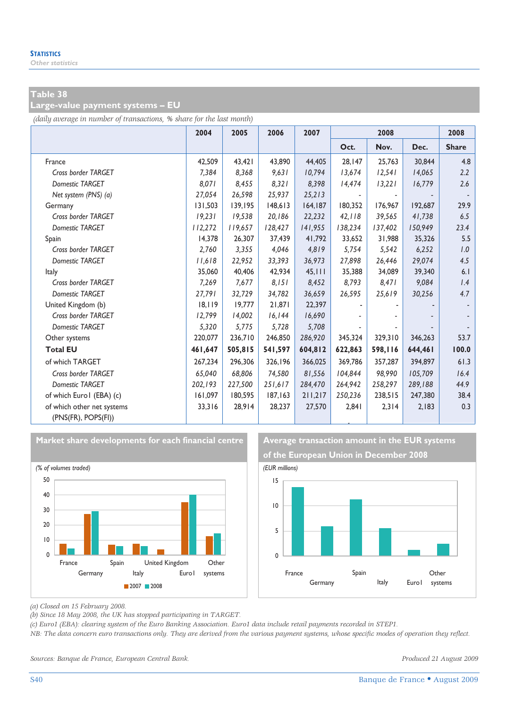### **Large-value payment systems – EU**

*(daily average in number of transactions, % share for the last month)*

|                                                   | 2004    | 2005    | 2006     | 2007    | 2008    |         |         | 2008         |
|---------------------------------------------------|---------|---------|----------|---------|---------|---------|---------|--------------|
|                                                   |         |         |          |         | Oct.    | Nov.    | Dec.    | <b>Share</b> |
| France                                            | 42,509  | 43.421  | 43,890   | 44,405  | 28,147  | 25,763  | 30,844  | 4.8          |
| Cross border TARGET                               | 7,384   | 8,368   | 9,631    | 10,794  | 13,674  | 12,541  | 14,065  | 2.2          |
| <b>Domestic TARGET</b>                            | 8,071   | 8.455   | 8,321    | 8.398   | 14,474  | 13.221  | 16,779  | 2.6          |
| Net system (PNS) (a)                              | 27,054  | 26,598  | 25,937   | 25,213  |         |         |         |              |
| Germany                                           | 131,503 | 139,195 | 148,613  | 164,187 | 180,352 | 176,967 | 192,687 | 29.9         |
| Cross border TARGET                               | 19.231  | 19.538  | 20.186   | 22,232  | 42.118  | 39,565  | 41,738  | 6.5          |
| <b>Domestic TARGET</b>                            | 112,272 | 119,657 | 128,427  | 141,955 | 138,234 | 137,402 | 150,949 | 23.4         |
| Spain                                             | 14.378  | 26.307  | 37.439   | 41,792  | 33.652  | 31,988  | 35,326  | 5.5          |
| Cross border TARGET                               | 2.760   | 3,355   | 4.046    | 4,819   | 5,754   | 5,542   | 6,252   | 1.0          |
| <b>Domestic TARGET</b>                            | 11,618  | 22,952  | 33,393   | 36,973  | 27,898  | 26,446  | 29,074  | 4.5          |
| Italy                                             | 35,060  | 40,406  | 42,934   | 45.111  | 35,388  | 34,089  | 39,340  | 6.1          |
| Cross border TARGET                               | 7,269   | 7,677   | 8,151    | 8,452   | 8,793   | 8,471   | 9,084   | 1.4          |
| <b>Domestic TARGET</b>                            | 27,791  | 32.729  | 34,782   | 36,659  | 26,595  | 25,619  | 30,256  | 4.7          |
| United Kingdom (b)                                | 18.119  | 19,777  | 21.871   | 22.397  |         |         |         |              |
| Cross border TARGET                               | 12,799  | 14,002  | 16, 144  | 16,690  |         |         |         |              |
| <b>Domestic TARGET</b>                            | 5,320   | 5.775   | 5.728    | 5,708   |         |         |         |              |
| Other systems                                     | 220,077 | 236,710 | 246,850  | 286,920 | 345,324 | 329,310 | 346,263 | 53.7         |
| <b>Total EU</b>                                   | 461,647 | 505,815 | 541,597  | 604,812 | 622,863 | 598,116 | 644,461 | 100.0        |
| of which TARGET                                   | 267.234 | 296,306 | 326.196  | 366,025 | 369,786 | 357,287 | 394,897 | 61.3         |
| Cross border TARGET                               | 65.040  | 68.806  | 74.580   | 81.556  | 104.844 | 98.990  | 105,709 | 16.4         |
| <b>Domestic TARGET</b>                            | 202,193 | 227,500 | 251,617  | 284,470 | 264,942 | 258,297 | 289,188 | 44.9         |
| of which Euro I (EBA) (c)                         | 161,097 | 180,595 | 187, 163 | 211,217 | 250,236 | 238,515 | 247,380 | 38.4         |
| of which other net systems<br>(PNS(FR), POPS(FI)) | 33,316  | 28,914  | 28,237   | 27,570  | 2,841   | 2,314   | 2,183   | 0.3          |



Market share developments for each financial centre **Average transaction amount in the EUR systems** 





*(a) Closed on 15 February 2008.* 

*(b) Since 18 May 2008, the UK has stopped participating in TARGET.* 

*(c) Euro1 (EBA): clearing system of the Euro Banking Association. Euro1 data include retail payments recorded in STEP1.* 

*NB: The data concern euro transactions only. They are derived from the various payment systems, whose specific modes of operation they reflect.* 

*Sources: Banque de France, European Central Bank. Produced 21 August 2009*